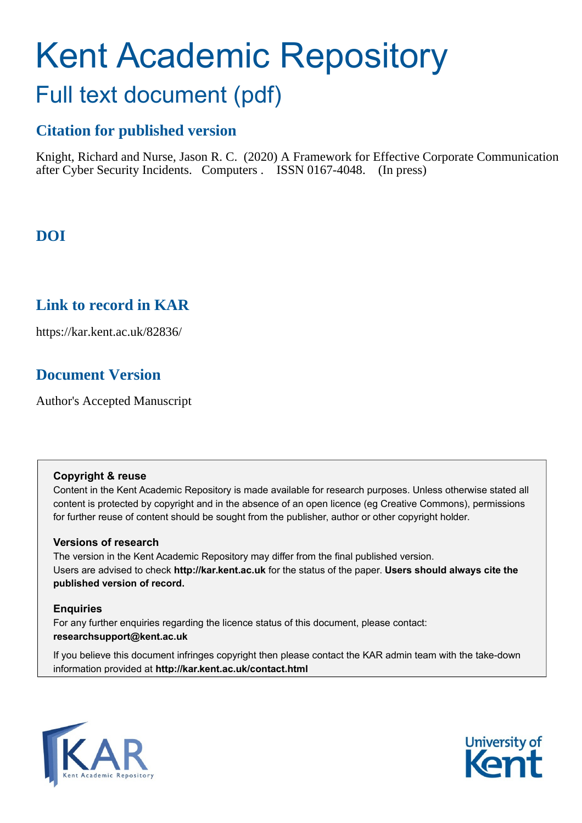# Kent Academic Repository

## Full text document (pdf)

### **Citation for published version**

Knight, Richard and Nurse, Jason R. C. (2020) A Framework for Effective Corporate Communication after Cyber Security Incidents. Computers . ISSN 0167-4048. (In press)

### **DOI**

### **Link to record in KAR**

https://kar.kent.ac.uk/82836/

### **Document Version**

Author's Accepted Manuscript

#### **Copyright & reuse**

Content in the Kent Academic Repository is made available for research purposes. Unless otherwise stated all content is protected by copyright and in the absence of an open licence (eg Creative Commons), permissions for further reuse of content should be sought from the publisher, author or other copyright holder.

#### **Versions of research**

The version in the Kent Academic Repository may differ from the final published version. Users are advised to check **http://kar.kent.ac.uk** for the status of the paper. **Users should always cite the published version of record.**

#### **Enquiries**

For any further enquiries regarding the licence status of this document, please contact: **researchsupport@kent.ac.uk**

If you believe this document infringes copyright then please contact the KAR admin team with the take-down information provided at **http://kar.kent.ac.uk/contact.html**



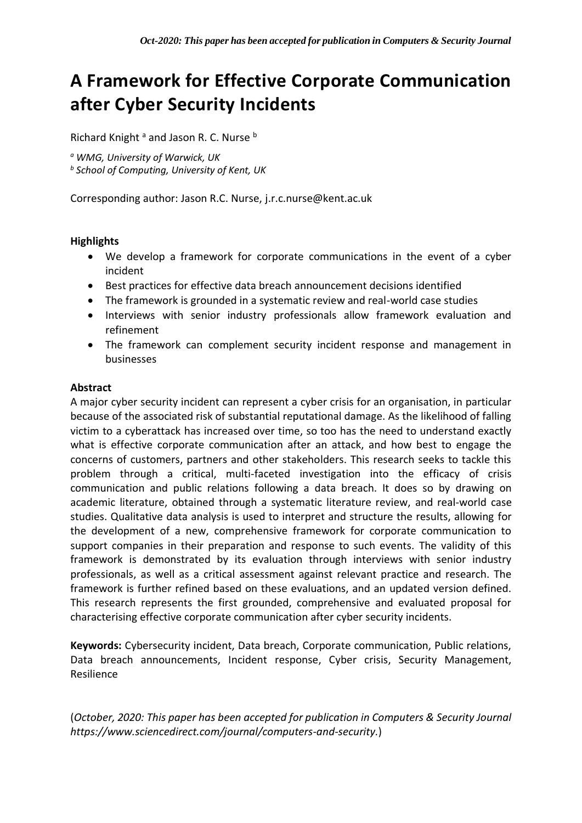### **A Framework for Effective Corporate Communication after Cyber Security Incidents**

Richard Knight<sup>a</sup> and Jason R. C. Nurse b

*<sup>a</sup> WMG, University of Warwick, UK*

*<sup>b</sup> School of Computing, University of Kent, UK*

Corresponding author: Jason R.C. Nurse, j.r.c.nurse@kent.ac.uk

#### **Highlights**

- We develop a framework for corporate communications in the event of a cyber incident
- Best practices for effective data breach announcement decisions identified
- The framework is grounded in a systematic review and real-world case studies
- Interviews with senior industry professionals allow framework evaluation and refinement
- The framework can complement security incident response and management in businesses

#### **Abstract**

A major cyber security incident can represent a cyber crisis for an organisation, in particular because of the associated risk of substantial reputational damage. As the likelihood of falling victim to a cyberattack has increased over time, so too has the need to understand exactly what is effective corporate communication after an attack, and how best to engage the concerns of customers, partners and other stakeholders. This research seeks to tackle this problem through a critical, multi-faceted investigation into the efficacy of crisis communication and public relations following a data breach. It does so by drawing on academic literature, obtained through a systematic literature review, and real-world case studies. Qualitative data analysis is used to interpret and structure the results, allowing for the development of a new, comprehensive framework for corporate communication to support companies in their preparation and response to such events. The validity of this framework is demonstrated by its evaluation through interviews with senior industry professionals, as well as a critical assessment against relevant practice and research. The framework is further refined based on these evaluations, and an updated version defined. This research represents the first grounded, comprehensive and evaluated proposal for characterising effective corporate communication after cyber security incidents.

**Keywords:** Cybersecurity incident, Data breach, Corporate communication, Public relations, Data breach announcements, Incident response, Cyber crisis, Security Management, Resilience

(*October, 2020: This paper has been accepted for publication in Computers & Security Journal https://www.sciencedirect.com/journal/computers-and-security.*)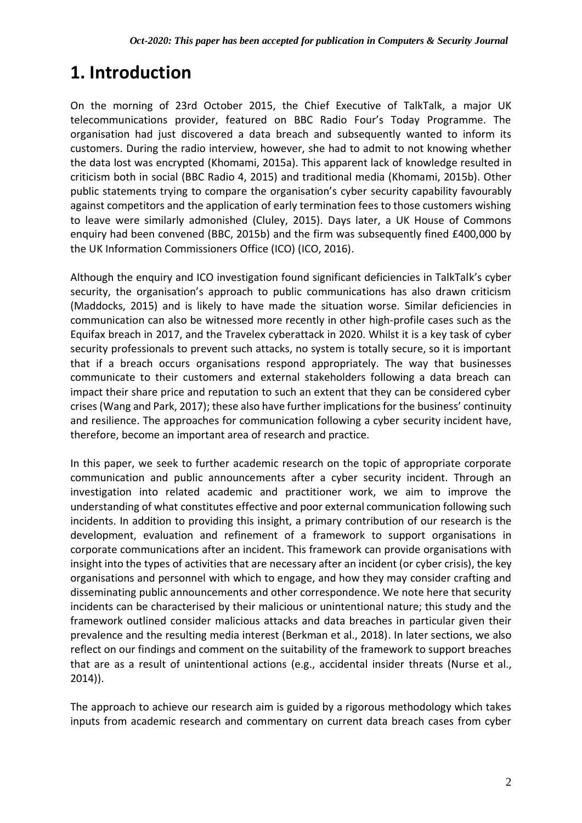### **1. Introduction**

On the morning of 23rd October 2015, the Chief Executive of TalkTalk, a major UK telecommunications provider, featured on BBC Radio Four's Today Programme. The organisation had just discovered a data breach and subsequently wanted to inform its customers. During the radio interview, however, she had to admit to not knowing whether the data lost was encrypted (Khomami, 2015a). This apparent lack of knowledge resulted in criticism both in social (BBC Radio 4, 2015) and traditional media (Khomami, 2015b). Other public statements trying to compare the organisation's cyber security capability favourably against competitors and the application of early termination fees to those customers wishing to leave were similarly admonished (Cluley, 2015). Days later, a UK House of Commons enquiry had been convened (BBC, 2015b) and the firm was subsequently fined £400,000 by the UK Information Commissioners Office (ICO) (ICO, 2016).

Although the enquiry and ICO investigation found significant deficiencies in TalkTalk's cyber security, the organisation's approach to public communications has also drawn criticism (Maddocks, 2015) and is likely to have made the situation worse. Similar deficiencies in communication can also be witnessed more recently in other high-profile cases such as the Equifax breach in 2017, and the Travelex cyberattack in 2020. Whilst it is a key task of cyber security professionals to prevent such attacks, no system is totally secure, so it is important that if a breach occurs organisations respond appropriately. The way that businesses communicate to their customers and external stakeholders following a data breach can impact their share price and reputation to such an extent that they can be considered cyber crises (Wang and Park, 2017); these also have further implications for the business' continuity and resilience. The approaches for communication following a cyber security incident have, therefore, become an important area of research and practice.

In this paper, we seek to further academic research on the topic of appropriate corporate communication and public announcements after a cyber security incident. Through an investigation into related academic and practitioner work, we aim to improve the understanding of what constitutes effective and poor external communication following such incidents. In addition to providing this insight, a primary contribution of our research is the development, evaluation and refinement of a framework to support organisations in corporate communications after an incident. This framework can provide organisations with insight into the types of activities that are necessary after an incident (or cyber crisis), the key organisations and personnel with which to engage, and how they may consider crafting and disseminating public announcements and other correspondence. We note here that security incidents can be characterised by their malicious or unintentional nature; this study and the framework outlined consider malicious attacks and data breaches in particular given their prevalence and the resulting media interest (Berkman et al., 2018). In later sections, we also reflect on our findings and comment on the suitability of the framework to support breaches that are as a result of unintentional actions (e.g., accidental insider threats (Nurse et al., 2014)).

The approach to achieve our research aim is guided by a rigorous methodology which takes inputs from academic research and commentary on current data breach cases from cyber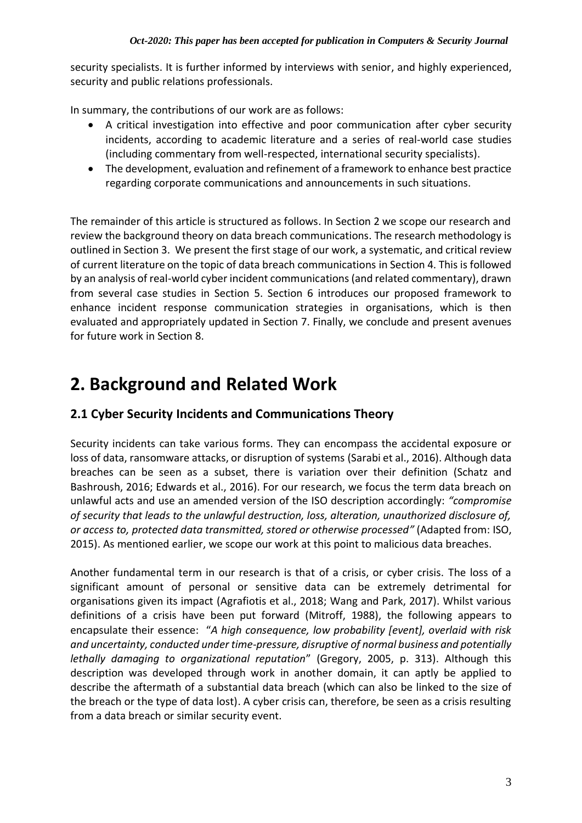security specialists. It is further informed by interviews with senior, and highly experienced, security and public relations professionals.

In summary, the contributions of our work are as follows:

- A critical investigation into effective and poor communication after cyber security incidents, according to academic literature and a series of real-world case studies (including commentary from well-respected, international security specialists).
- The development, evaluation and refinement of a framework to enhance best practice regarding corporate communications and announcements in such situations.

The remainder of this article is structured as follows. In Section 2 we scope our research and review the background theory on data breach communications. The research methodology is outlined in Section 3. We present the first stage of our work, a systematic, and critical review of current literature on the topic of data breach communications in Section 4. This is followed by an analysis of real-world cyber incident communications (and related commentary), drawn from several case studies in Section 5. Section 6 introduces our proposed framework to enhance incident response communication strategies in organisations, which is then evaluated and appropriately updated in Section 7. Finally, we conclude and present avenues for future work in Section 8.

### **2. Background and Related Work**

### **2.1 Cyber Security Incidents and Communications Theory**

Security incidents can take various forms. They can encompass the accidental exposure or loss of data, ransomware attacks, or disruption of systems (Sarabi et al., 2016). Although data breaches can be seen as a subset, there is variation over their definition (Schatz and Bashroush, 2016; Edwards et al., 2016). For our research, we focus the term data breach on unlawful acts and use an amended version of the ISO description accordingly: *"compromise of security that leads to the unlawful destruction, loss, alteration, unauthorized disclosure of, or access to, protected data transmitted, stored or otherwise processed"* (Adapted from: ISO, 2015). As mentioned earlier, we scope our work at this point to malicious data breaches.

Another fundamental term in our research is that of a crisis, or cyber crisis. The loss of a significant amount of personal or sensitive data can be extremely detrimental for organisations given its impact (Agrafiotis et al., 2018; Wang and Park, 2017). Whilst various definitions of a crisis have been put forward (Mitroff, 1988), the following appears to encapsulate their essence: "*A high consequence, low probability [event], overlaid with risk and uncertainty, conducted under time-pressure, disruptive of normal business and potentially lethally damaging to organizational reputation*" (Gregory, 2005, p. 313). Although this description was developed through work in another domain, it can aptly be applied to describe the aftermath of a substantial data breach (which can also be linked to the size of the breach or the type of data lost). A cyber crisis can, therefore, be seen as a crisis resulting from a data breach or similar security event.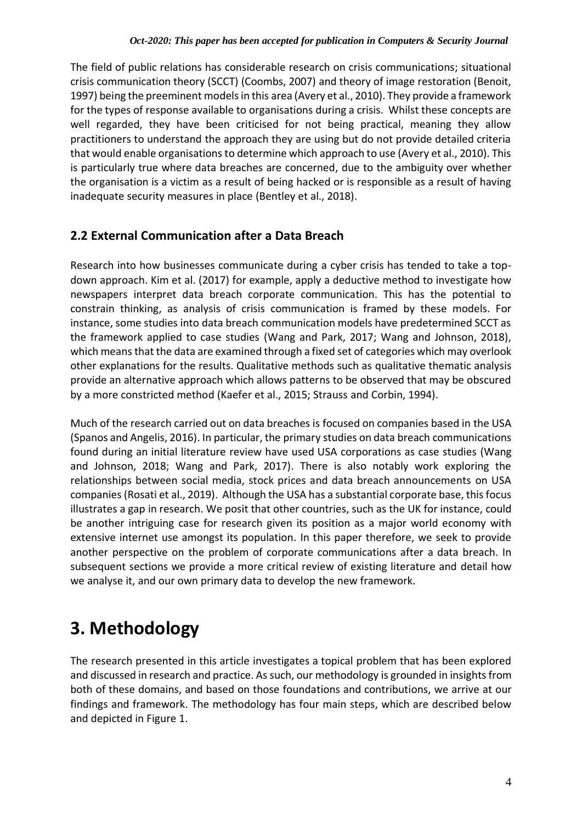The field of public relations has considerable research on crisis communications; situational crisis communication theory (SCCT) (Coombs, 2007) and theory of image restoration (Benoit, 1997) being the preeminent models in this area (Avery et al., 2010). They provide a framework for the types of response available to organisations during a crisis. Whilst these concepts are well regarded, they have been criticised for not being practical, meaning they allow practitioners to understand the approach they are using but do not provide detailed criteria that would enable organisations to determine which approach to use (Avery et al., 2010). This is particularly true where data breaches are concerned, due to the ambiguity over whether the organisation is a victim as a result of being hacked or is responsible as a result of having inadequate security measures in place (Bentley et al., 2018).

### **2.2 External Communication after a Data Breach**

Research into how businesses communicate during a cyber crisis has tended to take a topdown approach. Kim et al. (2017) for example, apply a deductive method to investigate how newspapers interpret data breach corporate communication. This has the potential to constrain thinking, as analysis of crisis communication is framed by these models. For instance, some studies into data breach communication models have predetermined SCCT as the framework applied to case studies (Wang and Park, 2017; Wang and Johnson, 2018), which means that the data are examined through a fixed set of categories which may overlook other explanations for the results. Qualitative methods such as qualitative thematic analysis provide an alternative approach which allows patterns to be observed that may be obscured by a more constricted method (Kaefer et al., 2015; Strauss and Corbin, 1994).

Much of the research carried out on data breaches is focused on companies based in the USA (Spanos and Angelis, 2016). In particular, the primary studies on data breach communications found during an initial literature review have used USA corporations as case studies (Wang and Johnson, 2018; Wang and Park, 2017). There is also notably work exploring the relationships between social media, stock prices and data breach announcements on USA companies(Rosati et al., 2019). Although the USA has a substantial corporate base, this focus illustrates a gap in research. We posit that other countries, such as the UK for instance, could be another intriguing case for research given its position as a major world economy with extensive internet use amongst its population. In this paper therefore, we seek to provide another perspective on the problem of corporate communications after a data breach. In subsequent sections we provide a more critical review of existing literature and detail how we analyse it, and our own primary data to develop the new framework.

### **3. Methodology**

The research presented in this article investigates a topical problem that has been explored and discussed in research and practice. As such, our methodology is grounded in insights from both of these domains, and based on those foundations and contributions, we arrive at our findings and framework. The methodology has four main steps, which are described below and depicted in Figure 1.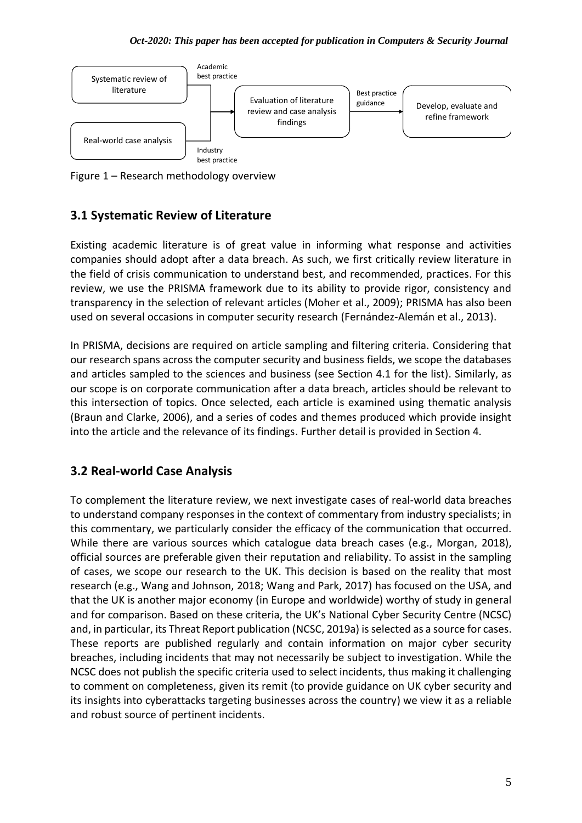

Figure 1 – Research methodology overview

### **3.1 Systematic Review of Literature**

Existing academic literature is of great value in informing what response and activities companies should adopt after a data breach. As such, we first critically review literature in the field of crisis communication to understand best, and recommended, practices. For this review, we use the PRISMA framework due to its ability to provide rigor, consistency and transparency in the selection of relevant articles (Moher et al., 2009); PRISMA has also been used on several occasions in computer security research (Fernández-Alemán et al., 2013).

In PRISMA, decisions are required on article sampling and filtering criteria. Considering that our research spans across the computer security and business fields, we scope the databases and articles sampled to the sciences and business (see Section 4.1 for the list). Similarly, as our scope is on corporate communication after a data breach, articles should be relevant to this intersection of topics. Once selected, each article is examined using thematic analysis (Braun and Clarke, 2006), and a series of codes and themes produced which provide insight into the article and the relevance of its findings. Further detail is provided in Section 4.

### **3.2 Real-world Case Analysis**

To complement the literature review, we next investigate cases of real-world data breaches to understand company responses in the context of commentary from industry specialists; in this commentary, we particularly consider the efficacy of the communication that occurred. While there are various sources which catalogue data breach cases (e.g., Morgan, 2018), official sources are preferable given their reputation and reliability. To assist in the sampling of cases, we scope our research to the UK. This decision is based on the reality that most research (e.g., Wang and Johnson, 2018; Wang and Park, 2017) has focused on the USA, and that the UK is another major economy (in Europe and worldwide) worthy of study in general and for comparison. Based on these criteria, the UK's National Cyber Security Centre (NCSC) and, in particular, its Threat Report publication (NCSC, 2019a) is selected as a source for cases. These reports are published regularly and contain information on major cyber security breaches, including incidents that may not necessarily be subject to investigation. While the NCSC does not publish the specific criteria used to select incidents, thus making it challenging to comment on completeness, given its remit (to provide guidance on UK cyber security and its insights into cyberattacks targeting businesses across the country) we view it as a reliable and robust source of pertinent incidents.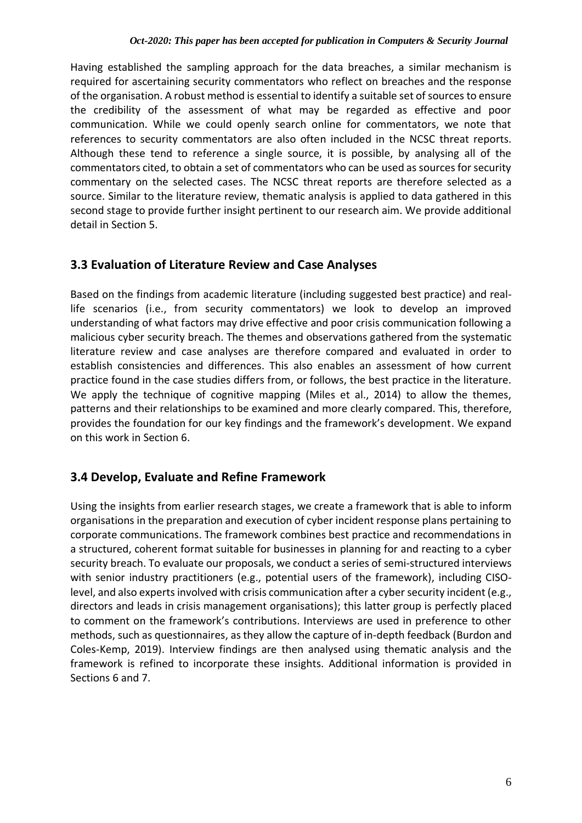Having established the sampling approach for the data breaches, a similar mechanism is required for ascertaining security commentators who reflect on breaches and the response of the organisation. A robust method is essential to identify a suitable set of sources to ensure the credibility of the assessment of what may be regarded as effective and poor communication. While we could openly search online for commentators, we note that references to security commentators are also often included in the NCSC threat reports. Although these tend to reference a single source, it is possible, by analysing all of the commentators cited, to obtain a set of commentators who can be used as sources for security commentary on the selected cases. The NCSC threat reports are therefore selected as a source. Similar to the literature review, thematic analysis is applied to data gathered in this second stage to provide further insight pertinent to our research aim. We provide additional detail in Section 5.

### **3.3 Evaluation of Literature Review and Case Analyses**

Based on the findings from academic literature (including suggested best practice) and reallife scenarios (i.e., from security commentators) we look to develop an improved understanding of what factors may drive effective and poor crisis communication following a malicious cyber security breach. The themes and observations gathered from the systematic literature review and case analyses are therefore compared and evaluated in order to establish consistencies and differences. This also enables an assessment of how current practice found in the case studies differs from, or follows, the best practice in the literature. We apply the technique of cognitive mapping (Miles et al., 2014) to allow the themes, patterns and their relationships to be examined and more clearly compared. This, therefore, provides the foundation for our key findings and the framework's development. We expand on this work in Section 6.

### **3.4 Develop, Evaluate and Refine Framework**

Using the insights from earlier research stages, we create a framework that is able to inform organisations in the preparation and execution of cyber incident response plans pertaining to corporate communications. The framework combines best practice and recommendations in a structured, coherent format suitable for businesses in planning for and reacting to a cyber security breach. To evaluate our proposals, we conduct a series of semi-structured interviews with senior industry practitioners (e.g., potential users of the framework), including CISOlevel, and also experts involved with crisis communication after a cyber security incident (e.g., directors and leads in crisis management organisations); this latter group is perfectly placed to comment on the framework's contributions. Interviews are used in preference to other methods, such as questionnaires, as they allow the capture of in-depth feedback (Burdon and Coles-Kemp, 2019). Interview findings are then analysed using thematic analysis and the framework is refined to incorporate these insights. Additional information is provided in Sections 6 and 7.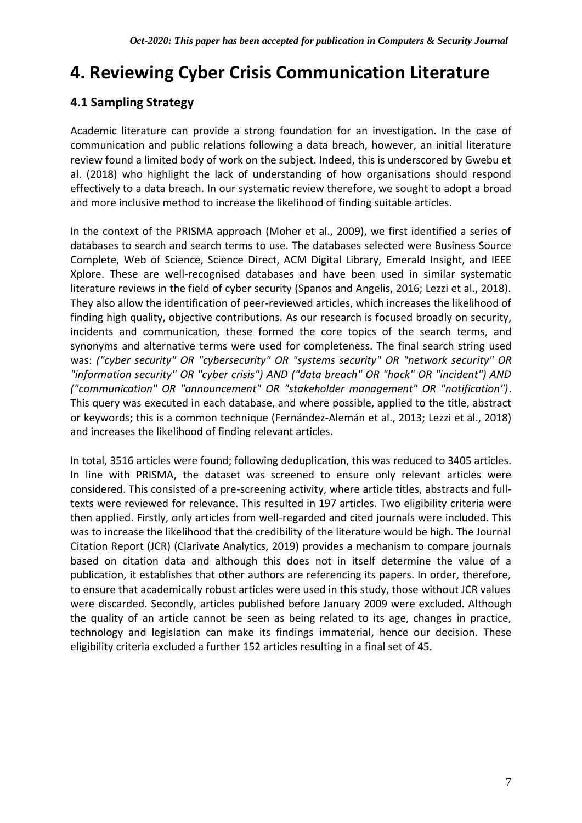### **4. Reviewing Cyber Crisis Communication Literature**

### **4.1 Sampling Strategy**

Academic literature can provide a strong foundation for an investigation. In the case of communication and public relations following a data breach, however, an initial literature review found a limited body of work on the subject. Indeed, this is underscored by Gwebu et al. (2018) who highlight the lack of understanding of how organisations should respond effectively to a data breach. In our systematic review therefore, we sought to adopt a broad and more inclusive method to increase the likelihood of finding suitable articles.

In the context of the PRISMA approach (Moher et al., 2009), we first identified a series of databases to search and search terms to use. The databases selected were Business Source Complete, Web of Science, Science Direct, ACM Digital Library, Emerald Insight, and IEEE Xplore. These are well-recognised databases and have been used in similar systematic literature reviews in the field of cyber security (Spanos and Angelis, 2016; Lezzi et al., 2018). They also allow the identification of peer-reviewed articles, which increases the likelihood of finding high quality, objective contributions. As our research is focused broadly on security, incidents and communication, these formed the core topics of the search terms, and synonyms and alternative terms were used for completeness. The final search string used was: *("cyber security" OR "cybersecurity" OR "systems security" OR "network security" OR "information security" OR "cyber crisis") AND ("data breach" OR "hack" OR "incident") AND ("communication" OR "announcement" OR "stakeholder management" OR "notification")*. This query was executed in each database, and where possible, applied to the title, abstract or keywords; this is a common technique (Fernández-Alemán et al., 2013; Lezzi et al., 2018) and increases the likelihood of finding relevant articles.

In total, 3516 articles were found; following deduplication, this was reduced to 3405 articles. In line with PRISMA, the dataset was screened to ensure only relevant articles were considered. This consisted of a pre-screening activity, where article titles, abstracts and fulltexts were reviewed for relevance. This resulted in 197 articles. Two eligibility criteria were then applied. Firstly, only articles from well-regarded and cited journals were included. This was to increase the likelihood that the credibility of the literature would be high. The Journal Citation Report (JCR) (Clarivate Analytics, 2019) provides a mechanism to compare journals based on citation data and although this does not in itself determine the value of a publication, it establishes that other authors are referencing its papers. In order, therefore, to ensure that academically robust articles were used in this study, those without JCR values were discarded. Secondly, articles published before January 2009 were excluded. Although the quality of an article cannot be seen as being related to its age, changes in practice, technology and legislation can make its findings immaterial, hence our decision. These eligibility criteria excluded a further 152 articles resulting in a final set of 45.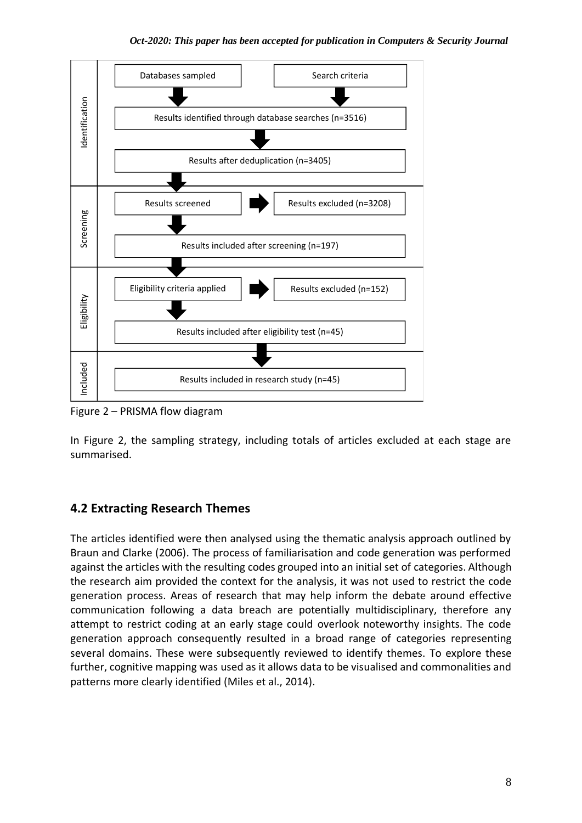

Figure 2 – PRISMA flow diagram

In Figure 2, the sampling strategy, including totals of articles excluded at each stage are summarised.

### **4.2 Extracting Research Themes**

The articles identified were then analysed using the thematic analysis approach outlined by Braun and Clarke (2006). The process of familiarisation and code generation was performed against the articles with the resulting codes grouped into an initial set of categories. Although the research aim provided the context for the analysis, it was not used to restrict the code generation process. Areas of research that may help inform the debate around effective communication following a data breach are potentially multidisciplinary, therefore any attempt to restrict coding at an early stage could overlook noteworthy insights. The code generation approach consequently resulted in a broad range of categories representing several domains. These were subsequently reviewed to identify themes. To explore these further, cognitive mapping was used as it allows data to be visualised and commonalities and patterns more clearly identified (Miles et al., 2014).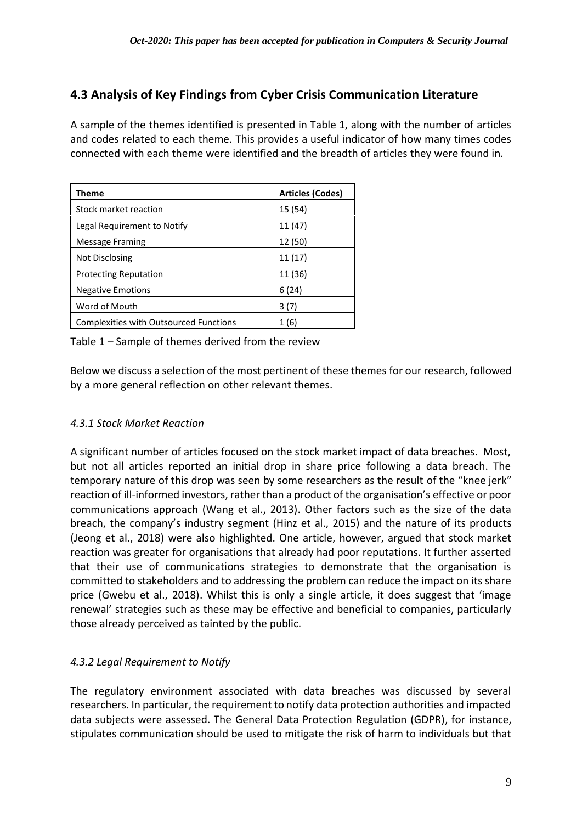### **4.3 Analysis of Key Findings from Cyber Crisis Communication Literature**

A sample of the themes identified is presented in Table 1, along with the number of articles and codes related to each theme. This provides a useful indicator of how many times codes connected with each theme were identified and the breadth of articles they were found in.

| Theme                                  | <b>Articles (Codes)</b> |
|----------------------------------------|-------------------------|
| Stock market reaction                  | 15 (54)                 |
| Legal Requirement to Notify            | 11 (47)                 |
| Message Framing                        | 12 (50)                 |
| Not Disclosing                         | 11 (17)                 |
| <b>Protecting Reputation</b>           | 11 (36)                 |
| <b>Negative Emotions</b>               | 6(24)                   |
| Word of Mouth                          | 3 (7)                   |
| Complexities with Outsourced Functions | 1 (6)                   |

Table 1 – Sample of themes derived from the review

Below we discuss a selection of the most pertinent of these themes for our research, followed by a more general reflection on other relevant themes.

### *4.3.1 Stock Market Reaction*

A significant number of articles focused on the stock market impact of data breaches. Most, but not all articles reported an initial drop in share price following a data breach. The temporary nature of this drop was seen by some researchers as the result of the "knee jerk" reaction of ill-informed investors, rather than a product of the organisation's effective or poor communications approach (Wang et al., 2013). Other factors such as the size of the data breach, the company's industry segment (Hinz et al., 2015) and the nature of its products (Jeong et al., 2018) were also highlighted. One article, however, argued that stock market reaction was greater for organisations that already had poor reputations. It further asserted that their use of communications strategies to demonstrate that the organisation is committed to stakeholders and to addressing the problem can reduce the impact on its share price (Gwebu et al., 2018). Whilst this is only a single article, it does suggest that 'image renewal' strategies such as these may be effective and beneficial to companies, particularly those already perceived as tainted by the public.

### *4.3.2 Legal Requirement to Notify*

The regulatory environment associated with data breaches was discussed by several researchers. In particular, the requirement to notify data protection authorities and impacted data subjects were assessed. The General Data Protection Regulation (GDPR), for instance, stipulates communication should be used to mitigate the risk of harm to individuals but that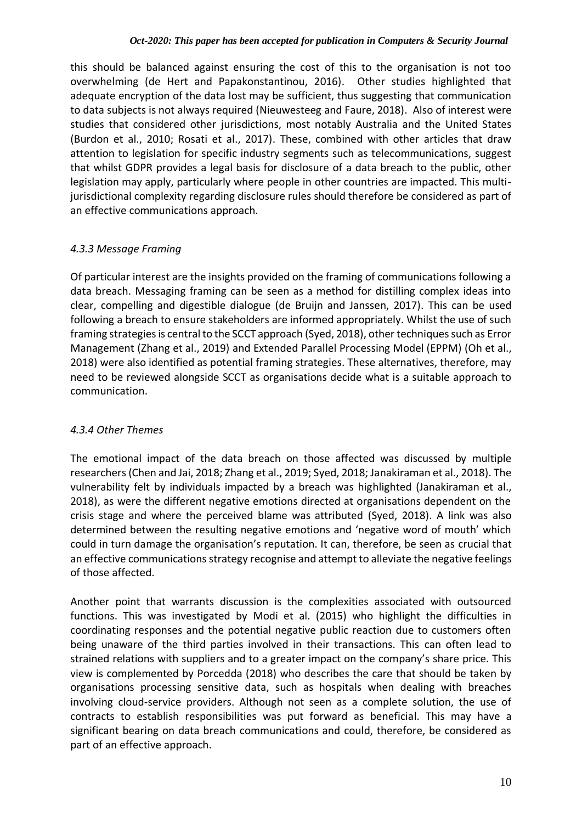this should be balanced against ensuring the cost of this to the organisation is not too overwhelming (de Hert and Papakonstantinou, 2016). Other studies highlighted that adequate encryption of the data lost may be sufficient, thus suggesting that communication to data subjects is not always required (Nieuwesteeg and Faure, 2018). Also of interest were studies that considered other jurisdictions, most notably Australia and the United States (Burdon et al., 2010; Rosati et al., 2017). These, combined with other articles that draw attention to legislation for specific industry segments such as telecommunications, suggest that whilst GDPR provides a legal basis for disclosure of a data breach to the public, other legislation may apply, particularly where people in other countries are impacted. This multijurisdictional complexity regarding disclosure rules should therefore be considered as part of an effective communications approach.

### *4.3.3 Message Framing*

Of particular interest are the insights provided on the framing of communications following a data breach. Messaging framing can be seen as a method for distilling complex ideas into clear, compelling and digestible dialogue (de Bruijn and Janssen, 2017). This can be used following a breach to ensure stakeholders are informed appropriately. Whilst the use of such framing strategies is central to the SCCT approach (Syed, 2018), other techniques such as Error Management (Zhang et al., 2019) and Extended Parallel Processing Model (EPPM) (Oh et al., 2018) were also identified as potential framing strategies. These alternatives, therefore, may need to be reviewed alongside SCCT as organisations decide what is a suitable approach to communication.

### *4.3.4 Other Themes*

The emotional impact of the data breach on those affected was discussed by multiple researchers (Chen and Jai, 2018; Zhang et al., 2019; Syed, 2018; Janakiraman et al., 2018). The vulnerability felt by individuals impacted by a breach was highlighted (Janakiraman et al., 2018), as were the different negative emotions directed at organisations dependent on the crisis stage and where the perceived blame was attributed (Syed, 2018). A link was also determined between the resulting negative emotions and 'negative word of mouth' which could in turn damage the organisation's reputation. It can, therefore, be seen as crucial that an effective communications strategy recognise and attempt to alleviate the negative feelings of those affected.

Another point that warrants discussion is the complexities associated with outsourced functions. This was investigated by Modi et al. (2015) who highlight the difficulties in coordinating responses and the potential negative public reaction due to customers often being unaware of the third parties involved in their transactions. This can often lead to strained relations with suppliers and to a greater impact on the company's share price. This view is complemented by Porcedda (2018) who describes the care that should be taken by organisations processing sensitive data, such as hospitals when dealing with breaches involving cloud-service providers. Although not seen as a complete solution, the use of contracts to establish responsibilities was put forward as beneficial. This may have a significant bearing on data breach communications and could, therefore, be considered as part of an effective approach.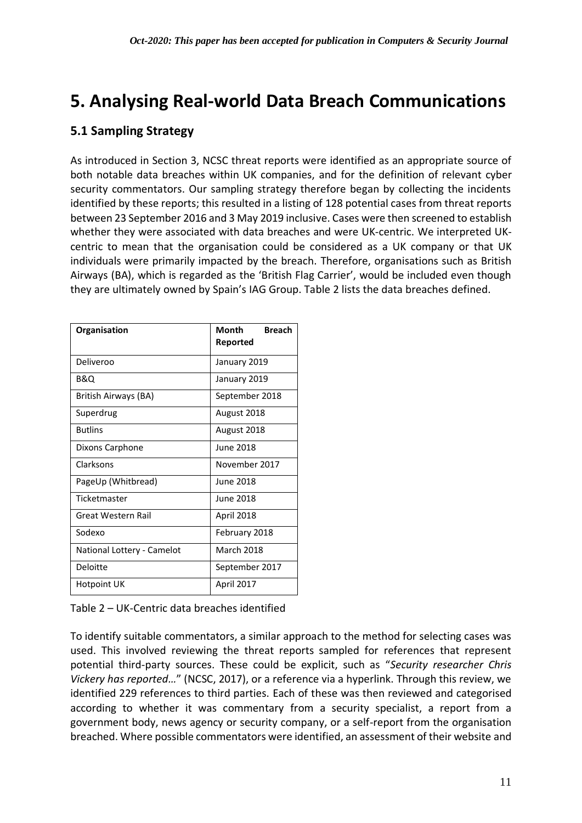### **5. Analysing Real-world Data Breach Communications**

### **5.1 Sampling Strategy**

As introduced in Section 3, NCSC threat reports were identified as an appropriate source of both notable data breaches within UK companies, and for the definition of relevant cyber security commentators. Our sampling strategy therefore began by collecting the incidents identified by these reports; this resulted in a listing of 128 potential cases from threat reports between 23 September 2016 and 3 May 2019 inclusive. Cases were then screened to establish whether they were associated with data breaches and were UK-centric. We interpreted UKcentric to mean that the organisation could be considered as a UK company or that UK individuals were primarily impacted by the breach. Therefore, organisations such as British Airways (BA), which is regarded as the 'British Flag Carrier', would be included even though they are ultimately owned by Spain's IAG Group. Table 2 lists the data breaches defined.

| Organisation               | Month<br><b>Breach</b><br>Reported |  |  |
|----------------------------|------------------------------------|--|--|
|                            |                                    |  |  |
| Deliveroo                  | January 2019                       |  |  |
| B&Q                        | January 2019                       |  |  |
| British Airways (BA)       | September 2018                     |  |  |
| Superdrug                  | August 2018                        |  |  |
| <b>Butlins</b>             | August 2018                        |  |  |
| Dixons Carphone            | June 2018                          |  |  |
| Clarksons                  | November 2017                      |  |  |
| PageUp (Whitbread)         | June 2018                          |  |  |
| Ticketmaster               | June 2018                          |  |  |
| Great Western Rail         | April 2018                         |  |  |
| Sodexo                     | February 2018                      |  |  |
| National Lottery - Camelot | <b>March 2018</b>                  |  |  |
| Deloitte                   | September 2017                     |  |  |
| <b>Hotpoint UK</b>         | April 2017                         |  |  |

To identify suitable commentators, a similar approach to the method for selecting cases was used. This involved reviewing the threat reports sampled for references that represent potential third-party sources. These could be explicit, such as "*Security researcher Chris Vickery has reported…*" (NCSC, 2017), or a reference via a hyperlink. Through this review, we identified 229 references to third parties. Each of these was then reviewed and categorised according to whether it was commentary from a security specialist, a report from a government body, news agency or security company, or a self-report from the organisation breached. Where possible commentators were identified, an assessment of their website and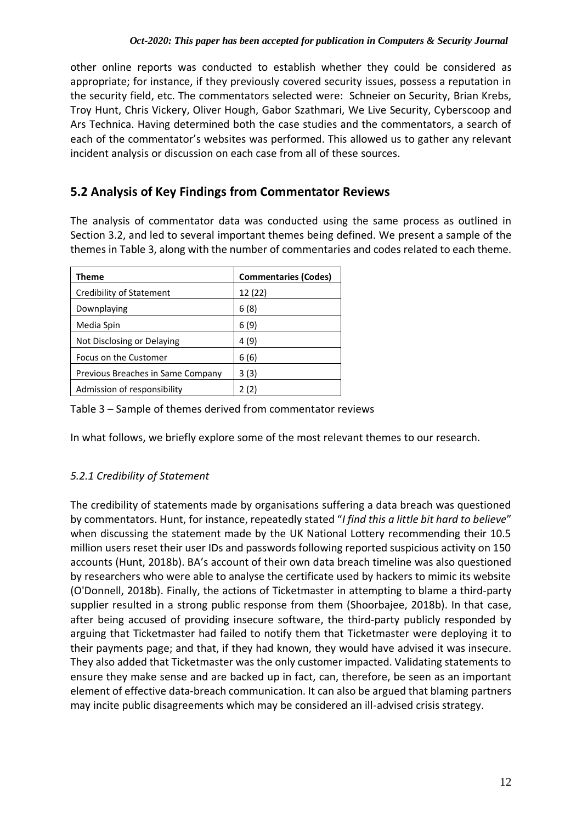other online reports was conducted to establish whether they could be considered as appropriate; for instance, if they previously covered security issues, possess a reputation in the security field, etc. The commentators selected were: Schneier on Security, Brian Krebs, Troy Hunt, Chris Vickery, Oliver Hough, Gabor Szathmari, We Live Security, Cyberscoop and Ars Technica. Having determined both the case studies and the commentators, a search of each of the commentator's websites was performed. This allowed us to gather any relevant incident analysis or discussion on each case from all of these sources.

### **5.2 Analysis of Key Findings from Commentator Reviews**

The analysis of commentator data was conducted using the same process as outlined in Section 3.2, and led to several important themes being defined. We present a sample of the themes in Table 3, along with the number of commentaries and codes related to each theme.

| Theme                             | <b>Commentaries (Codes)</b> |
|-----------------------------------|-----------------------------|
| <b>Credibility of Statement</b>   | 12 (22)                     |
| Downplaying                       | 6(8)                        |
| Media Spin                        | 6 (9)                       |
| Not Disclosing or Delaying        | 4 (9)                       |
| Focus on the Customer             | 6 (6)                       |
| Previous Breaches in Same Company | 3(3)                        |
| Admission of responsibility       |                             |

Table 3 – Sample of themes derived from commentator reviews

In what follows, we briefly explore some of the most relevant themes to our research.

### *5.2.1 Credibility of Statement*

The credibility of statements made by organisations suffering a data breach was questioned by commentators. Hunt, for instance, repeatedly stated "*I find this a little bit hard to believe*" when discussing the statement made by the UK National Lottery recommending their 10.5 million users reset their user IDs and passwords following reported suspicious activity on 150 accounts (Hunt, 2018b). BA's account of their own data breach timeline was also questioned by researchers who were able to analyse the certificate used by hackers to mimic its website (O'Donnell, 2018b). Finally, the actions of Ticketmaster in attempting to blame a third-party supplier resulted in a strong public response from them (Shoorbajee, 2018b). In that case, after being accused of providing insecure software, the third-party publicly responded by arguing that Ticketmaster had failed to notify them that Ticketmaster were deploying it to their payments page; and that, if they had known, they would have advised it was insecure. They also added that Ticketmaster was the only customer impacted. Validating statements to ensure they make sense and are backed up in fact, can, therefore, be seen as an important element of effective data-breach communication. It can also be argued that blaming partners may incite public disagreements which may be considered an ill-advised crisis strategy.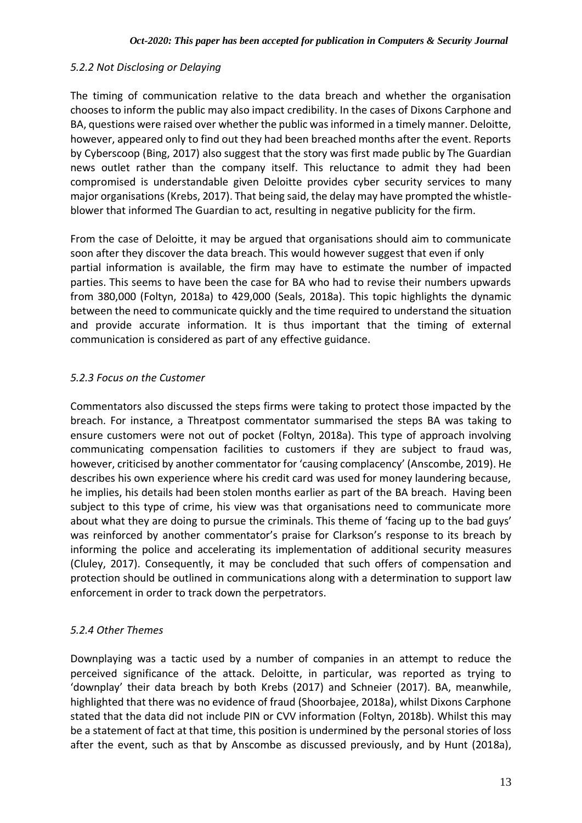#### *5.2.2 Not Disclosing or Delaying*

The timing of communication relative to the data breach and whether the organisation chooses to inform the public may also impact credibility. In the cases of Dixons Carphone and BA, questions were raised over whether the public was informed in a timely manner. Deloitte, however, appeared only to find out they had been breached months after the event. Reports by Cyberscoop (Bing, 2017) also suggest that the story was first made public by The Guardian news outlet rather than the company itself. This reluctance to admit they had been compromised is understandable given Deloitte provides cyber security services to many major organisations (Krebs, 2017). That being said, the delay may have prompted the whistleblower that informed The Guardian to act, resulting in negative publicity for the firm.

From the case of Deloitte, it may be argued that organisations should aim to communicate soon after they discover the data breach. This would however suggest that even if only partial information is available, the firm may have to estimate the number of impacted parties. This seems to have been the case for BA who had to revise their numbers upwards from 380,000 (Foltyn, 2018a) to 429,000 (Seals, 2018a). This topic highlights the dynamic between the need to communicate quickly and the time required to understand the situation and provide accurate information. It is thus important that the timing of external communication is considered as part of any effective guidance.

#### *5.2.3 Focus on the Customer*

Commentators also discussed the steps firms were taking to protect those impacted by the breach. For instance, a Threatpost commentator summarised the steps BA was taking to ensure customers were not out of pocket (Foltyn, 2018a). This type of approach involving communicating compensation facilities to customers if they are subject to fraud was, however, criticised by another commentator for 'causing complacency' (Anscombe, 2019). He describes his own experience where his credit card was used for money laundering because, he implies, his details had been stolen months earlier as part of the BA breach. Having been subject to this type of crime, his view was that organisations need to communicate more about what they are doing to pursue the criminals. This theme of 'facing up to the bad guys' was reinforced by another commentator's praise for Clarkson's response to its breach by informing the police and accelerating its implementation of additional security measures (Cluley, 2017). Consequently, it may be concluded that such offers of compensation and protection should be outlined in communications along with a determination to support law enforcement in order to track down the perpetrators.

#### *5.2.4 Other Themes*

Downplaying was a tactic used by a number of companies in an attempt to reduce the perceived significance of the attack. Deloitte, in particular, was reported as trying to 'downplay' their data breach by both Krebs (2017) and Schneier (2017). BA, meanwhile, highlighted that there was no evidence of fraud (Shoorbajee, 2018a), whilst Dixons Carphone stated that the data did not include PIN or CVV information (Foltyn, 2018b). Whilst this may be a statement of fact at that time, this position is undermined by the personal stories of loss after the event, such as that by Anscombe as discussed previously, and by Hunt (2018a),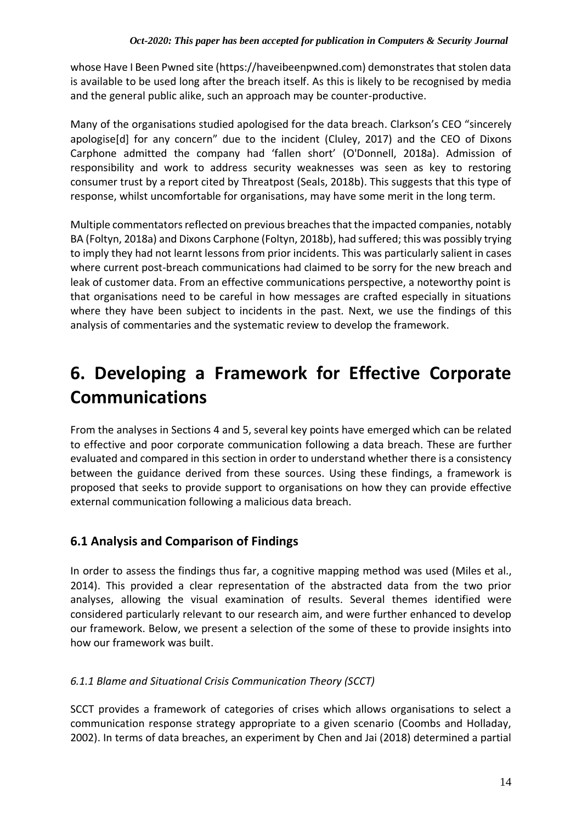whose Have I Been Pwned site (https://haveibeenpwned.com) demonstrates that stolen data is available to be used long after the breach itself. As this is likely to be recognised by media and the general public alike, such an approach may be counter-productive.

Many of the organisations studied apologised for the data breach. Clarkson's CEO "sincerely apologise[d] for any concern" due to the incident (Cluley, 2017) and the CEO of Dixons Carphone admitted the company had 'fallen short' (O'Donnell, 2018a). Admission of responsibility and work to address security weaknesses was seen as key to restoring consumer trust by a report cited by Threatpost (Seals, 2018b). This suggests that this type of response, whilst uncomfortable for organisations, may have some merit in the long term.

Multiple commentators reflected on previous breaches that the impacted companies, notably BA (Foltyn, 2018a) and Dixons Carphone (Foltyn, 2018b), had suffered; this was possibly trying to imply they had not learnt lessons from prior incidents. This was particularly salient in cases where current post-breach communications had claimed to be sorry for the new breach and leak of customer data. From an effective communications perspective, a noteworthy point is that organisations need to be careful in how messages are crafted especially in situations where they have been subject to incidents in the past. Next, we use the findings of this analysis of commentaries and the systematic review to develop the framework.

### **6. Developing a Framework for Effective Corporate Communications**

From the analyses in Sections 4 and 5, several key points have emerged which can be related to effective and poor corporate communication following a data breach. These are further evaluated and compared in this section in order to understand whether there is a consistency between the guidance derived from these sources. Using these findings, a framework is proposed that seeks to provide support to organisations on how they can provide effective external communication following a malicious data breach.

### **6.1 Analysis and Comparison of Findings**

In order to assess the findings thus far, a cognitive mapping method was used (Miles et al., 2014). This provided a clear representation of the abstracted data from the two prior analyses, allowing the visual examination of results. Several themes identified were considered particularly relevant to our research aim, and were further enhanced to develop our framework. Below, we present a selection of the some of these to provide insights into how our framework was built.

### *6.1.1 Blame and Situational Crisis Communication Theory (SCCT)*

SCCT provides a framework of categories of crises which allows organisations to select a communication response strategy appropriate to a given scenario (Coombs and Holladay, 2002). In terms of data breaches, an experiment by Chen and Jai (2018) determined a partial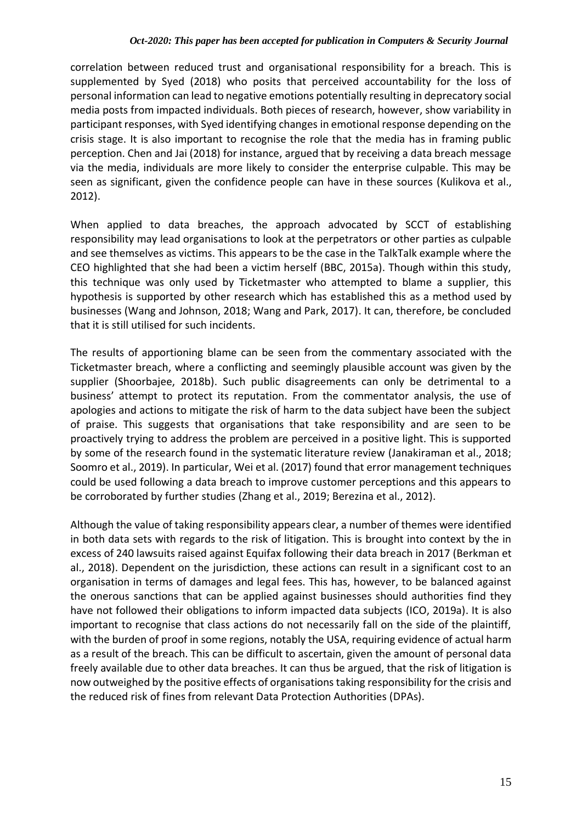correlation between reduced trust and organisational responsibility for a breach. This is supplemented by Syed (2018) who posits that perceived accountability for the loss of personal information can lead to negative emotions potentially resulting in deprecatory social media posts from impacted individuals. Both pieces of research, however, show variability in participant responses, with Syed identifying changes in emotional response depending on the crisis stage. It is also important to recognise the role that the media has in framing public perception. Chen and Jai (2018) for instance, argued that by receiving a data breach message via the media, individuals are more likely to consider the enterprise culpable. This may be seen as significant, given the confidence people can have in these sources (Kulikova et al., 2012).

When applied to data breaches, the approach advocated by SCCT of establishing responsibility may lead organisations to look at the perpetrators or other parties as culpable and see themselves as victims. This appears to be the case in the TalkTalk example where the CEO highlighted that she had been a victim herself (BBC, 2015a). Though within this study, this technique was only used by Ticketmaster who attempted to blame a supplier, this hypothesis is supported by other research which has established this as a method used by businesses (Wang and Johnson, 2018; Wang and Park, 2017). It can, therefore, be concluded that it is still utilised for such incidents.

The results of apportioning blame can be seen from the commentary associated with the Ticketmaster breach, where a conflicting and seemingly plausible account was given by the supplier (Shoorbajee, 2018b). Such public disagreements can only be detrimental to a business' attempt to protect its reputation. From the commentator analysis, the use of apologies and actions to mitigate the risk of harm to the data subject have been the subject of praise. This suggests that organisations that take responsibility and are seen to be proactively trying to address the problem are perceived in a positive light. This is supported by some of the research found in the systematic literature review (Janakiraman et al., 2018; Soomro et al., 2019). In particular, Wei et al. (2017) found that error management techniques could be used following a data breach to improve customer perceptions and this appears to be corroborated by further studies (Zhang et al., 2019; Berezina et al., 2012).

Although the value of taking responsibility appears clear, a number of themes were identified in both data sets with regards to the risk of litigation. This is brought into context by the in excess of 240 lawsuits raised against Equifax following their data breach in 2017 (Berkman et al., 2018). Dependent on the jurisdiction, these actions can result in a significant cost to an organisation in terms of damages and legal fees. This has, however, to be balanced against the onerous sanctions that can be applied against businesses should authorities find they have not followed their obligations to inform impacted data subjects (ICO, 2019a). It is also important to recognise that class actions do not necessarily fall on the side of the plaintiff, with the burden of proof in some regions, notably the USA, requiring evidence of actual harm as a result of the breach. This can be difficult to ascertain, given the amount of personal data freely available due to other data breaches. It can thus be argued, that the risk of litigation is now outweighed by the positive effects of organisations taking responsibility for the crisis and the reduced risk of fines from relevant Data Protection Authorities (DPAs).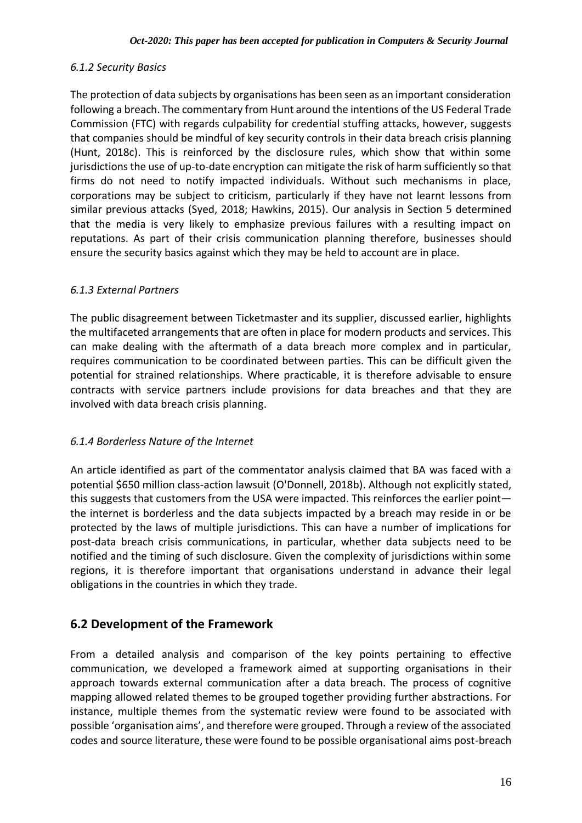#### *6.1.2 Security Basics*

The protection of data subjects by organisations has been seen as an important consideration following a breach. The commentary from Hunt around the intentions of the US Federal Trade Commission (FTC) with regards culpability for credential stuffing attacks, however, suggests that companies should be mindful of key security controls in their data breach crisis planning (Hunt, 2018c). This is reinforced by the disclosure rules, which show that within some jurisdictions the use of up-to-date encryption can mitigate the risk of harm sufficiently so that firms do not need to notify impacted individuals. Without such mechanisms in place, corporations may be subject to criticism, particularly if they have not learnt lessons from similar previous attacks (Syed, 2018; Hawkins, 2015). Our analysis in Section 5 determined that the media is very likely to emphasize previous failures with a resulting impact on reputations. As part of their crisis communication planning therefore, businesses should ensure the security basics against which they may be held to account are in place.

#### *6.1.3 External Partners*

The public disagreement between Ticketmaster and its supplier, discussed earlier, highlights the multifaceted arrangements that are often in place for modern products and services. This can make dealing with the aftermath of a data breach more complex and in particular, requires communication to be coordinated between parties. This can be difficult given the potential for strained relationships. Where practicable, it is therefore advisable to ensure contracts with service partners include provisions for data breaches and that they are involved with data breach crisis planning.

#### *6.1.4 Borderless Nature of the Internet*

An article identified as part of the commentator analysis claimed that BA was faced with a potential \$650 million class-action lawsuit (O'Donnell, 2018b). Although not explicitly stated, this suggests that customers from the USA were impacted. This reinforces the earlier point the internet is borderless and the data subjects impacted by a breach may reside in or be protected by the laws of multiple jurisdictions. This can have a number of implications for post-data breach crisis communications, in particular, whether data subjects need to be notified and the timing of such disclosure. Given the complexity of jurisdictions within some regions, it is therefore important that organisations understand in advance their legal obligations in the countries in which they trade.

### **6.2 Development of the Framework**

From a detailed analysis and comparison of the key points pertaining to effective communication, we developed a framework aimed at supporting organisations in their approach towards external communication after a data breach. The process of cognitive mapping allowed related themes to be grouped together providing further abstractions. For instance, multiple themes from the systematic review were found to be associated with possible 'organisation aims', and therefore were grouped. Through a review of the associated codes and source literature, these were found to be possible organisational aims post-breach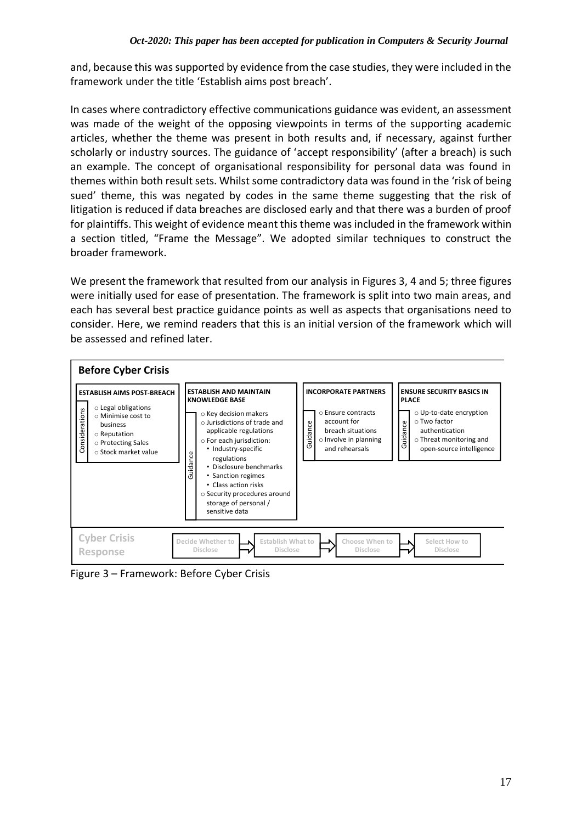and, because this was supported by evidence from the case studies, they were included in the framework under the title 'Establish aims post breach'.

In cases where contradictory effective communications guidance was evident, an assessment was made of the weight of the opposing viewpoints in terms of the supporting academic articles, whether the theme was present in both results and, if necessary, against further scholarly or industry sources. The guidance of 'accept responsibility' (after a breach) is such an example. The concept of organisational responsibility for personal data was found in themes within both result sets. Whilst some contradictory data was found in the 'risk of being sued' theme, this was negated by codes in the same theme suggesting that the risk of litigation is reduced if data breaches are disclosed early and that there was a burden of proof for plaintiffs. This weight of evidence meant this theme was included in the framework within a section titled, "Frame the Message". We adopted similar techniques to construct the broader framework.

We present the framework that resulted from our analysis in Figures 3, 4 and 5; three figures were initially used for ease of presentation. The framework is split into two main areas, and each has several best practice guidance points as well as aspects that organisations need to consider. Here, we remind readers that this is an initial version of the framework which will be assessed and refined later.



Figure 3 – Framework: Before Cyber Crisis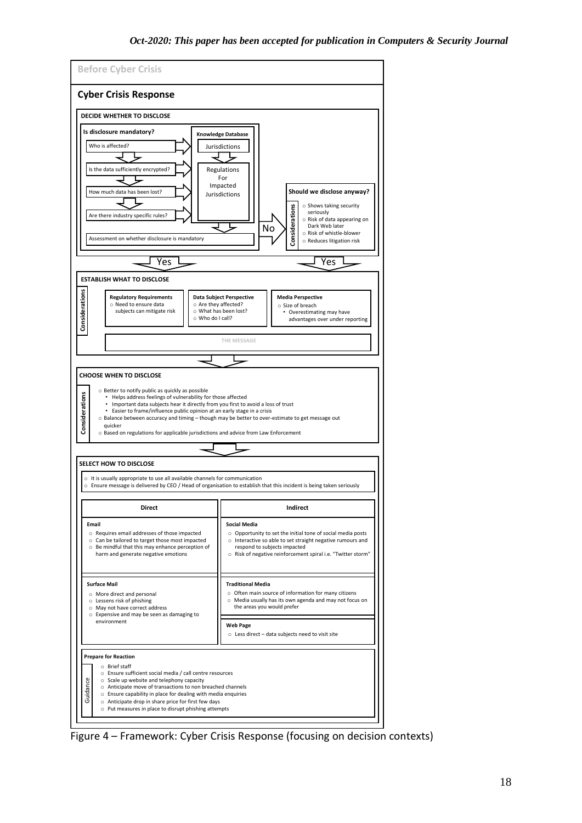

Figure 4 – Framework: Cyber Crisis Response (focusing on decision contexts)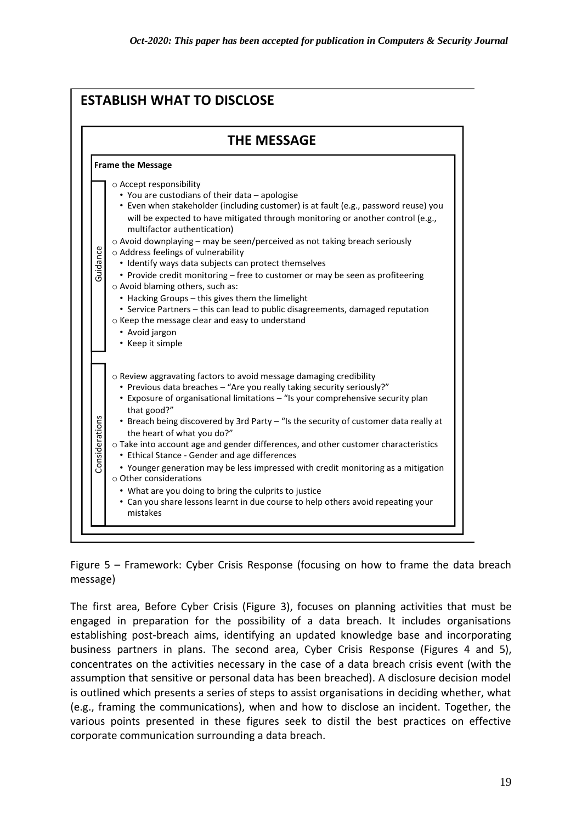

Figure 5 – Framework: Cyber Crisis Response (focusing on how to frame the data breach message)

The first area, Before Cyber Crisis (Figure 3), focuses on planning activities that must be engaged in preparation for the possibility of a data breach. It includes organisations establishing post-breach aims, identifying an updated knowledge base and incorporating business partners in plans. The second area, Cyber Crisis Response (Figures 4 and 5), concentrates on the activities necessary in the case of a data breach crisis event (with the assumption that sensitive or personal data has been breached). A disclosure decision model is outlined which presents a series of steps to assist organisations in deciding whether, what (e.g., framing the communications), when and how to disclose an incident. Together, the various points presented in these figures seek to distil the best practices on effective corporate communication surrounding a data breach.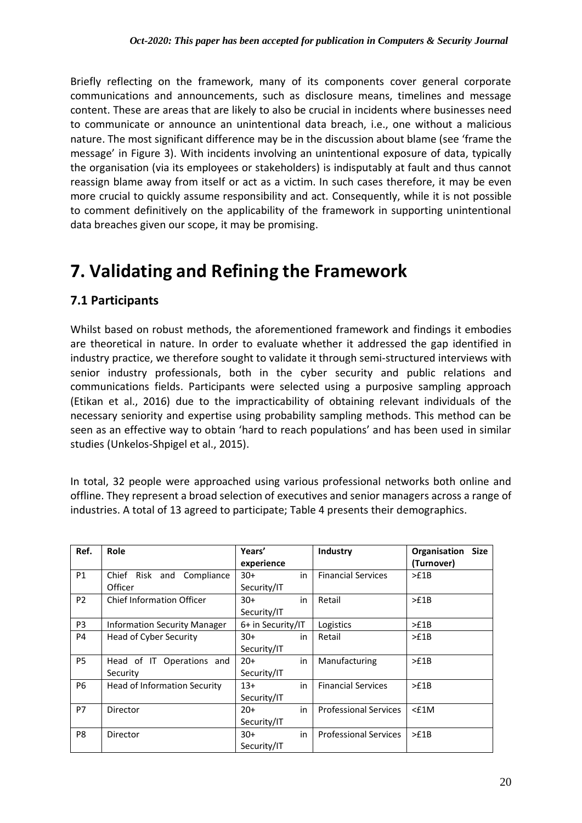Briefly reflecting on the framework, many of its components cover general corporate communications and announcements, such as disclosure means, timelines and message content. These are areas that are likely to also be crucial in incidents where businesses need to communicate or announce an unintentional data breach, i.e., one without a malicious nature. The most significant difference may be in the discussion about blame (see 'frame the message' in Figure 3). With incidents involving an unintentional exposure of data, typically the organisation (via its employees or stakeholders) is indisputably at fault and thus cannot reassign blame away from itself or act as a victim. In such cases therefore, it may be even more crucial to quickly assume responsibility and act. Consequently, while it is not possible to comment definitively on the applicability of the framework in supporting unintentional data breaches given our scope, it may be promising.

### **7. Validating and Refining the Framework**

### **7.1 Participants**

Whilst based on robust methods, the aforementioned framework and findings it embodies are theoretical in nature. In order to evaluate whether it addressed the gap identified in industry practice, we therefore sought to validate it through semi-structured interviews with senior industry professionals, both in the cyber security and public relations and communications fields. Participants were selected using a purposive sampling approach (Etikan et al., 2016) due to the impracticability of obtaining relevant individuals of the necessary seniority and expertise using probability sampling methods. This method can be seen as an effective way to obtain 'hard to reach populations' and has been used in similar studies (Unkelos-Shpigel et al., 2015).

In total, 32 people were approached using various professional networks both online and offline. They represent a broad selection of executives and senior managers across a range of industries. A total of 13 agreed to participate; Table 4 presents their demographics.

| Ref.           | <b>Role</b>                         | Years'            |    | Industry                     | Organisation<br><b>Size</b> |
|----------------|-------------------------------------|-------------------|----|------------------------------|-----------------------------|
|                |                                     | experience        |    |                              | (Turnover)                  |
| P1             | Chief Risk and Compliance           | $30+$<br>in       |    | <b>Financial Services</b>    | >£1B                        |
|                | Officer                             | Security/IT       |    |                              |                             |
| P <sub>2</sub> | <b>Chief Information Officer</b>    | $30+$<br>in       |    | Retail                       | >E1B                        |
|                |                                     | Security/IT       |    |                              |                             |
| P <sub>3</sub> | <b>Information Security Manager</b> | 6+ in Security/IT |    | Logistics                    | >f1B                        |
| P4             | Head of Cyber Security              | $30+$<br>in       |    | Retail                       | >£1B                        |
|                |                                     | Security/IT       |    |                              |                             |
| P <sub>5</sub> | Head of IT Operations and           | $20+$             | in | Manufacturing                | >E1B                        |
|                | Security                            | Security/IT       |    |                              |                             |
| P <sub>6</sub> | Head of Information Security        | $13+$<br>in       |    | <b>Financial Services</b>    | >f1B                        |
|                |                                     | Security/IT       |    |                              |                             |
| P7             | Director                            | $20+$<br>in       |    | <b>Professional Services</b> | $<$ £1M                     |
|                |                                     | Security/IT       |    |                              |                             |
| P8             | Director                            | $30+$<br>in       |    | <b>Professional Services</b> | >f1B                        |
|                |                                     | Security/IT       |    |                              |                             |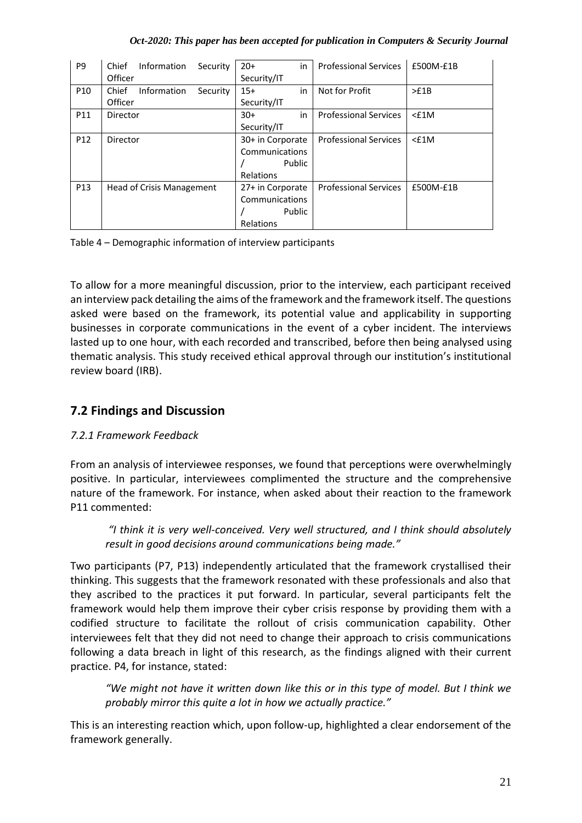#### *Oct-2020: This paper has been accepted for publication in Computers & Security Journal*

| P <sub>9</sub>  | Information<br>Chief<br>Security | $20+$<br>in      | <b>Professional Services</b> | £500M-£1B |
|-----------------|----------------------------------|------------------|------------------------------|-----------|
|                 | Officer                          | Security/IT      |                              |           |
| P <sub>10</sub> | Chief<br>Information<br>Security | in<br>$15+$      | Not for Profit               | >£1B      |
|                 | Officer                          | Security/IT      |                              |           |
| P11             | Director                         | $30+$<br>in      | <b>Professional Services</b> | $<$ £1M   |
|                 |                                  | Security/IT      |                              |           |
| P <sub>12</sub> | Director                         | 30+ in Corporate | <b>Professional Services</b> | $<$ £1M   |
|                 |                                  | Communications   |                              |           |
|                 |                                  | Public           |                              |           |
|                 |                                  | Relations        |                              |           |
| P <sub>13</sub> | <b>Head of Crisis Management</b> | 27+ in Corporate | <b>Professional Services</b> | £500M-£1B |
|                 |                                  | Communications   |                              |           |
|                 |                                  | Public           |                              |           |
|                 |                                  | Relations        |                              |           |

Table 4 – Demographic information of interview participants

To allow for a more meaningful discussion, prior to the interview, each participant received an interview pack detailing the aims of the framework and the framework itself. The questions asked were based on the framework, its potential value and applicability in supporting businesses in corporate communications in the event of a cyber incident. The interviews lasted up to one hour, with each recorded and transcribed, before then being analysed using thematic analysis. This study received ethical approval through our institution's institutional review board (IRB).

### **7.2 Findings and Discussion**

#### *7.2.1 Framework Feedback*

From an analysis of interviewee responses, we found that perceptions were overwhelmingly positive. In particular, interviewees complimented the structure and the comprehensive nature of the framework. For instance, when asked about their reaction to the framework P11 commented:

*"I think it is very well-conceived. Very well structured, and I think should absolutely result in good decisions around communications being made."*

Two participants (P7, P13) independently articulated that the framework crystallised their thinking. This suggests that the framework resonated with these professionals and also that they ascribed to the practices it put forward. In particular, several participants felt the framework would help them improve their cyber crisis response by providing them with a codified structure to facilitate the rollout of crisis communication capability. Other interviewees felt that they did not need to change their approach to crisis communications following a data breach in light of this research, as the findings aligned with their current practice. P4, for instance, stated:

*"We might not have it written down like this or in this type of model. But I think we probably mirror this quite a lot in how we actually practice."*

This is an interesting reaction which, upon follow-up, highlighted a clear endorsement of the framework generally.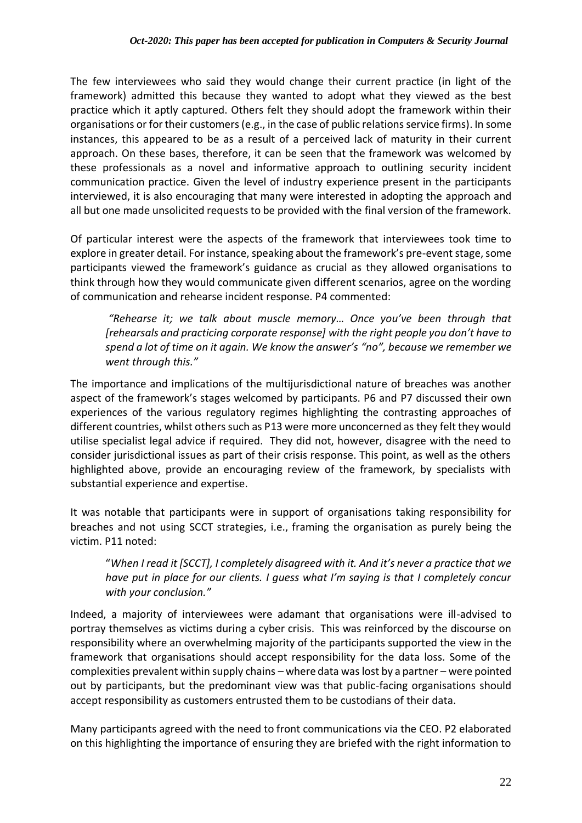The few interviewees who said they would change their current practice (in light of the framework) admitted this because they wanted to adopt what they viewed as the best practice which it aptly captured. Others felt they should adopt the framework within their organisations or for their customers(e.g., in the case of public relations service firms). In some instances, this appeared to be as a result of a perceived lack of maturity in their current approach. On these bases, therefore, it can be seen that the framework was welcomed by these professionals as a novel and informative approach to outlining security incident communication practice. Given the level of industry experience present in the participants interviewed, it is also encouraging that many were interested in adopting the approach and all but one made unsolicited requests to be provided with the final version of the framework.

Of particular interest were the aspects of the framework that interviewees took time to explore in greater detail. For instance, speaking about the framework's pre-event stage, some participants viewed the framework's guidance as crucial as they allowed organisations to think through how they would communicate given different scenarios, agree on the wording of communication and rehearse incident response. P4 commented:

*"Rehearse it; we talk about muscle memory… Once you've been through that [rehearsals and practicing corporate response] with the right people you don't have to spend a lot of time on it again. We know the answer's "no", because we remember we went through this."* 

The importance and implications of the multijurisdictional nature of breaches was another aspect of the framework's stages welcomed by participants. P6 and P7 discussed their own experiences of the various regulatory regimes highlighting the contrasting approaches of different countries, whilst others such as P13 were more unconcerned as they felt they would utilise specialist legal advice if required. They did not, however, disagree with the need to consider jurisdictional issues as part of their crisis response. This point, as well as the others highlighted above, provide an encouraging review of the framework, by specialists with substantial experience and expertise.

It was notable that participants were in support of organisations taking responsibility for breaches and not using SCCT strategies, i.e., framing the organisation as purely being the victim. P11 noted:

"*When I read it [SCCT], I completely disagreed with it. And it's never a practice that we have put in place for our clients. I guess what I'm saying is that I completely concur with your conclusion."*

Indeed, a majority of interviewees were adamant that organisations were ill-advised to portray themselves as victims during a cyber crisis. This was reinforced by the discourse on responsibility where an overwhelming majority of the participants supported the view in the framework that organisations should accept responsibility for the data loss. Some of the complexities prevalent within supply chains – where data was lost by a partner – were pointed out by participants, but the predominant view was that public-facing organisations should accept responsibility as customers entrusted them to be custodians of their data.

Many participants agreed with the need to front communications via the CEO. P2 elaborated on this highlighting the importance of ensuring they are briefed with the right information to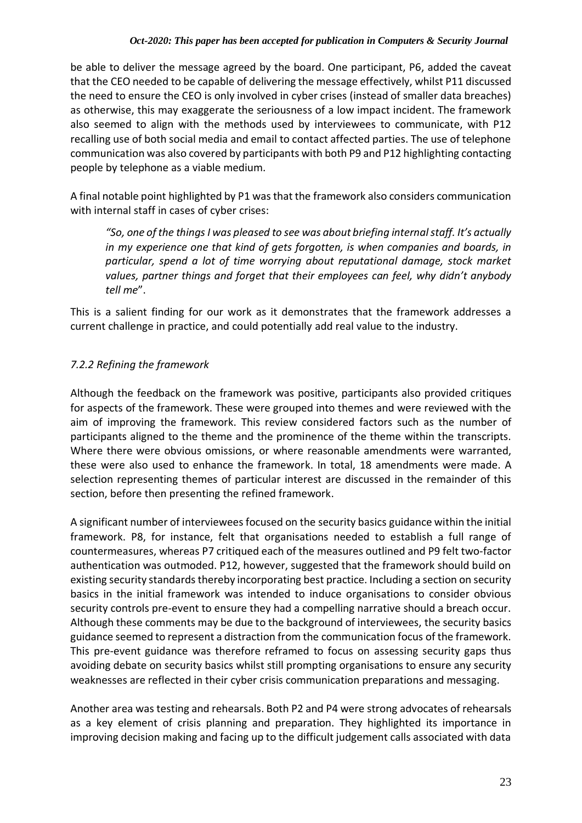be able to deliver the message agreed by the board. One participant, P6, added the caveat that the CEO needed to be capable of delivering the message effectively, whilst P11 discussed the need to ensure the CEO is only involved in cyber crises (instead of smaller data breaches) as otherwise, this may exaggerate the seriousness of a low impact incident. The framework also seemed to align with the methods used by interviewees to communicate, with P12 recalling use of both social media and email to contact affected parties. The use of telephone communication was also covered by participants with both P9 and P12 highlighting contacting people by telephone as a viable medium.

A final notable point highlighted by P1 was that the framework also considers communication with internal staff in cases of cyber crises:

*"So, one of the things I was pleased to see was about briefing internal staff. It's actually in my experience one that kind of gets forgotten, is when companies and boards, in particular, spend a lot of time worrying about reputational damage, stock market values, partner things and forget that their employees can feel, why didn't anybody tell me*".

This is a salient finding for our work as it demonstrates that the framework addresses a current challenge in practice, and could potentially add real value to the industry.

### *7.2.2 Refining the framework*

Although the feedback on the framework was positive, participants also provided critiques for aspects of the framework. These were grouped into themes and were reviewed with the aim of improving the framework. This review considered factors such as the number of participants aligned to the theme and the prominence of the theme within the transcripts. Where there were obvious omissions, or where reasonable amendments were warranted, these were also used to enhance the framework. In total, 18 amendments were made. A selection representing themes of particular interest are discussed in the remainder of this section, before then presenting the refined framework.

A significant number of interviewees focused on the security basics guidance within the initial framework. P8, for instance, felt that organisations needed to establish a full range of countermeasures, whereas P7 critiqued each of the measures outlined and P9 felt two-factor authentication was outmoded. P12, however, suggested that the framework should build on existing security standards thereby incorporating best practice. Including a section on security basics in the initial framework was intended to induce organisations to consider obvious security controls pre-event to ensure they had a compelling narrative should a breach occur. Although these comments may be due to the background of interviewees, the security basics guidance seemed to represent a distraction from the communication focus of the framework. This pre-event guidance was therefore reframed to focus on assessing security gaps thus avoiding debate on security basics whilst still prompting organisations to ensure any security weaknesses are reflected in their cyber crisis communication preparations and messaging.

Another area was testing and rehearsals. Both P2 and P4 were strong advocates of rehearsals as a key element of crisis planning and preparation. They highlighted its importance in improving decision making and facing up to the difficult judgement calls associated with data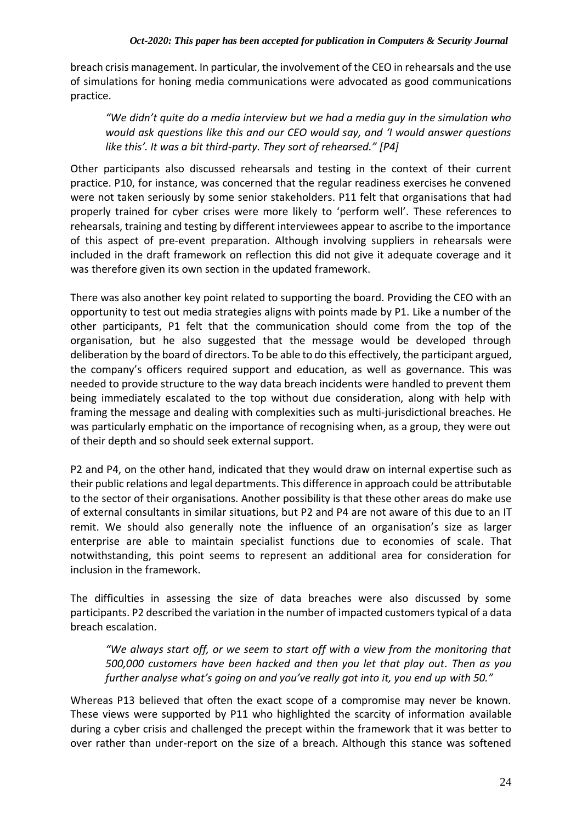breach crisis management. In particular, the involvement of the CEO in rehearsals and the use of simulations for honing media communications were advocated as good communications practice.

*"We didn't quite do a media interview but we had a media guy in the simulation who would ask questions like this and our CEO would say, and 'I would answer questions like this'. It was a bit third-party. They sort of rehearsed." [P4]*

Other participants also discussed rehearsals and testing in the context of their current practice. P10, for instance, was concerned that the regular readiness exercises he convened were not taken seriously by some senior stakeholders. P11 felt that organisations that had properly trained for cyber crises were more likely to 'perform well'. These references to rehearsals, training and testing by different interviewees appear to ascribe to the importance of this aspect of pre-event preparation. Although involving suppliers in rehearsals were included in the draft framework on reflection this did not give it adequate coverage and it was therefore given its own section in the updated framework.

There was also another key point related to supporting the board. Providing the CEO with an opportunity to test out media strategies aligns with points made by P1. Like a number of the other participants, P1 felt that the communication should come from the top of the organisation, but he also suggested that the message would be developed through deliberation by the board of directors. To be able to do this effectively, the participant argued, the company's officers required support and education, as well as governance. This was needed to provide structure to the way data breach incidents were handled to prevent them being immediately escalated to the top without due consideration, along with help with framing the message and dealing with complexities such as multi-jurisdictional breaches. He was particularly emphatic on the importance of recognising when, as a group, they were out of their depth and so should seek external support.

P2 and P4, on the other hand, indicated that they would draw on internal expertise such as their public relations and legal departments. This difference in approach could be attributable to the sector of their organisations. Another possibility is that these other areas do make use of external consultants in similar situations, but P2 and P4 are not aware of this due to an IT remit. We should also generally note the influence of an organisation's size as larger enterprise are able to maintain specialist functions due to economies of scale. That notwithstanding, this point seems to represent an additional area for consideration for inclusion in the framework.

The difficulties in assessing the size of data breaches were also discussed by some participants. P2 described the variation in the number of impacted customers typical of a data breach escalation.

*"We always start off, or we seem to start off with a view from the monitoring that 500,000 customers have been hacked and then you let that play out. Then as you further analyse what's going on and you've really got into it, you end up with 50."*

Whereas P13 believed that often the exact scope of a compromise may never be known. These views were supported by P11 who highlighted the scarcity of information available during a cyber crisis and challenged the precept within the framework that it was better to over rather than under-report on the size of a breach. Although this stance was softened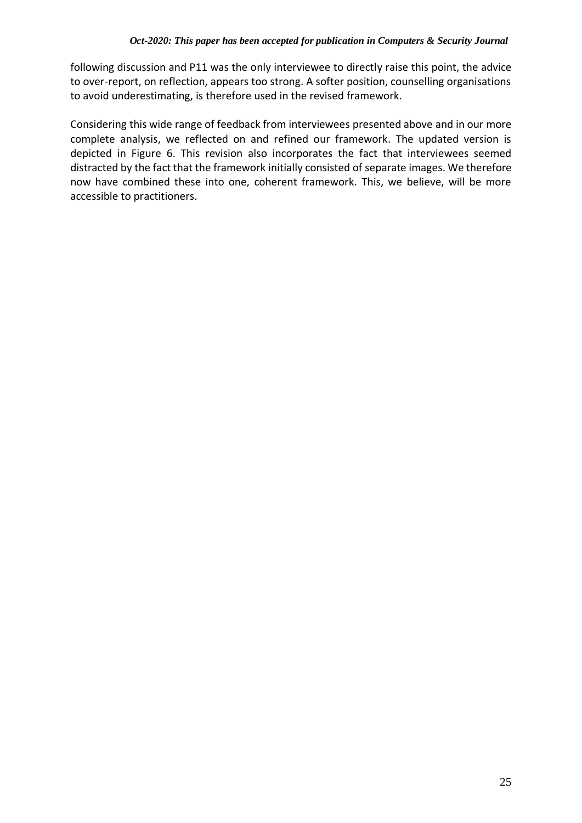following discussion and P11 was the only interviewee to directly raise this point, the advice to over-report, on reflection, appears too strong. A softer position, counselling organisations to avoid underestimating, is therefore used in the revised framework.

Considering this wide range of feedback from interviewees presented above and in our more complete analysis, we reflected on and refined our framework. The updated version is depicted in Figure 6. This revision also incorporates the fact that interviewees seemed distracted by the fact that the framework initially consisted of separate images. We therefore now have combined these into one, coherent framework. This, we believe, will be more accessible to practitioners.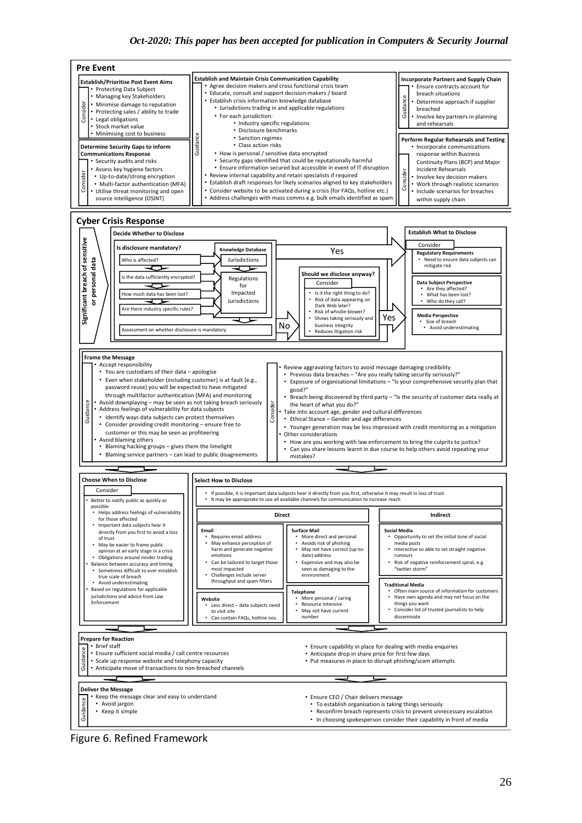

Figure 6. Refined Framework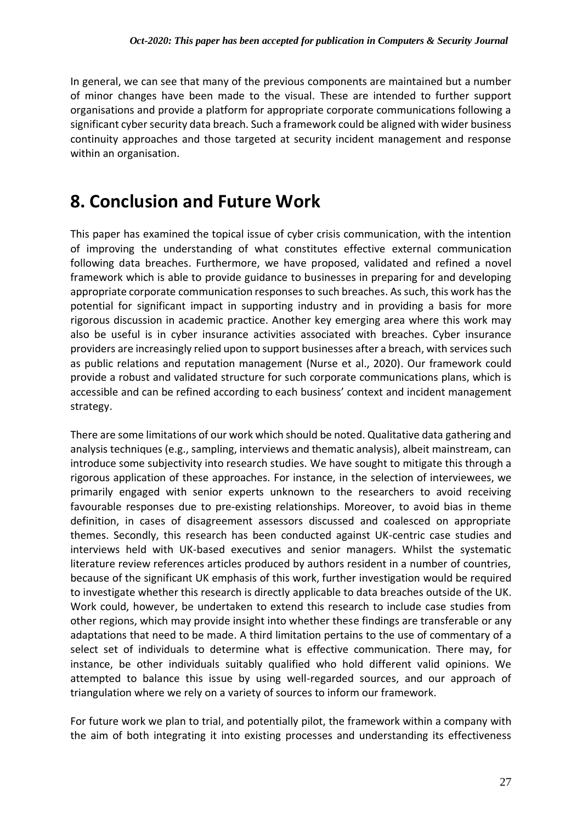In general, we can see that many of the previous components are maintained but a number of minor changes have been made to the visual. These are intended to further support organisations and provide a platform for appropriate corporate communications following a significant cyber security data breach. Such a framework could be aligned with wider business continuity approaches and those targeted at security incident management and response within an organisation.

### **8. Conclusion and Future Work**

This paper has examined the topical issue of cyber crisis communication, with the intention of improving the understanding of what constitutes effective external communication following data breaches. Furthermore, we have proposed, validated and refined a novel framework which is able to provide guidance to businesses in preparing for and developing appropriate corporate communication responses to such breaches. As such, this work has the potential for significant impact in supporting industry and in providing a basis for more rigorous discussion in academic practice. Another key emerging area where this work may also be useful is in cyber insurance activities associated with breaches. Cyber insurance providers are increasingly relied upon to support businesses after a breach, with services such as public relations and reputation management (Nurse et al., 2020). Our framework could provide a robust and validated structure for such corporate communications plans, which is accessible and can be refined according to each business' context and incident management strategy.

There are some limitations of our work which should be noted. Qualitative data gathering and analysis techniques (e.g., sampling, interviews and thematic analysis), albeit mainstream, can introduce some subjectivity into research studies. We have sought to mitigate this through a rigorous application of these approaches. For instance, in the selection of interviewees, we primarily engaged with senior experts unknown to the researchers to avoid receiving favourable responses due to pre-existing relationships. Moreover, to avoid bias in theme definition, in cases of disagreement assessors discussed and coalesced on appropriate themes. Secondly, this research has been conducted against UK-centric case studies and interviews held with UK-based executives and senior managers. Whilst the systematic literature review references articles produced by authors resident in a number of countries, because of the significant UK emphasis of this work, further investigation would be required to investigate whether this research is directly applicable to data breaches outside of the UK. Work could, however, be undertaken to extend this research to include case studies from other regions, which may provide insight into whether these findings are transferable or any adaptations that need to be made. A third limitation pertains to the use of commentary of a select set of individuals to determine what is effective communication. There may, for instance, be other individuals suitably qualified who hold different valid opinions. We attempted to balance this issue by using well-regarded sources, and our approach of triangulation where we rely on a variety of sources to inform our framework.

For future work we plan to trial, and potentially pilot, the framework within a company with the aim of both integrating it into existing processes and understanding its effectiveness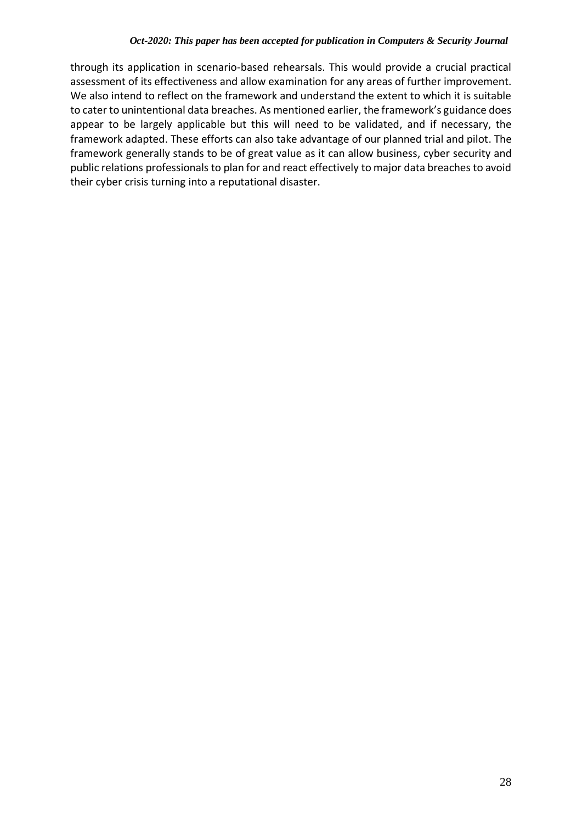through its application in scenario-based rehearsals. This would provide a crucial practical assessment of its effectiveness and allow examination for any areas of further improvement. We also intend to reflect on the framework and understand the extent to which it is suitable to cater to unintentional data breaches. As mentioned earlier, the framework's guidance does appear to be largely applicable but this will need to be validated, and if necessary, the framework adapted. These efforts can also take advantage of our planned trial and pilot. The framework generally stands to be of great value as it can allow business, cyber security and public relations professionals to plan for and react effectively to major data breaches to avoid their cyber crisis turning into a reputational disaster.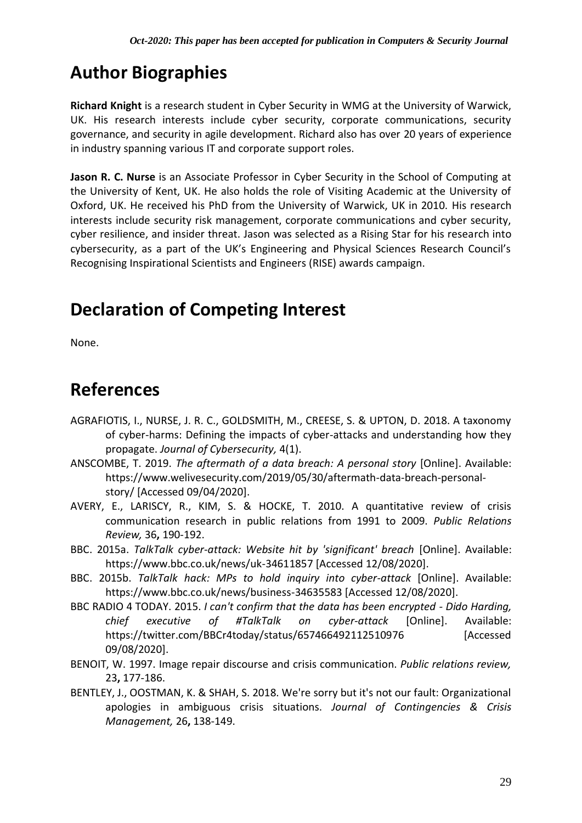### **Author Biographies**

**Richard Knight** is a research student in Cyber Security in WMG at the University of Warwick, UK. His research interests include cyber security, corporate communications, security governance, and security in agile development. Richard also has over 20 years of experience in industry spanning various IT and corporate support roles.

**Jason R. C. Nurse** is an Associate Professor in Cyber Security in the School of Computing at the University of Kent, UK. He also holds the role of Visiting Academic at the University of Oxford, UK. He received his PhD from the University of Warwick, UK in 2010. His research interests include security risk management, corporate communications and cyber security, cyber resilience, and insider threat. Jason was selected as a Rising Star for his research into cybersecurity, as a part of the UK's Engineering and Physical Sciences Research Council's Recognising Inspirational Scientists and Engineers (RISE) awards campaign.

### **Declaration of Competing Interest**

None.

### **References**

- AGRAFIOTIS, I., NURSE, J. R. C., GOLDSMITH, M., CREESE, S. & UPTON, D. 2018. A taxonomy of cyber-harms: Defining the impacts of cyber-attacks and understanding how they propagate. *Journal of Cybersecurity,* 4(1).
- ANSCOMBE, T. 2019. *The aftermath of a data breach: A personal story* [Online]. Available: https://www.welivesecurity.com/2019/05/30/aftermath-data-breach-personalstory/ [Accessed 09/04/2020].
- AVERY, E., LARISCY, R., KIM, S. & HOCKE, T. 2010. A quantitative review of crisis communication research in public relations from 1991 to 2009. *Public Relations Review,* 36**,** 190-192.
- BBC. 2015a. *TalkTalk cyber-attack: Website hit by 'significant' breach* [Online]. Available: https://www.bbc.co.uk/news/uk-34611857 [Accessed 12/08/2020].
- BBC. 2015b. *TalkTalk hack: MPs to hold inquiry into cyber-attack* [Online]. Available: https://www.bbc.co.uk/news/business-34635583 [Accessed 12/08/2020].
- BBC RADIO 4 TODAY. 2015. *I can't confirm that the data has been encrypted - Dido Harding, chief executive of #TalkTalk on cyber-attack* [Online]. Available: https://twitter.com/BBCr4today/status/657466492112510976 [Accessed 09/08/2020].
- BENOIT, W. 1997. Image repair discourse and crisis communication. *Public relations review,* 23**,** 177-186.
- BENTLEY, J., OOSTMAN, K. & SHAH, S. 2018. We're sorry but it's not our fault: Organizational apologies in ambiguous crisis situations. *Journal of Contingencies & Crisis Management,* 26**,** 138-149.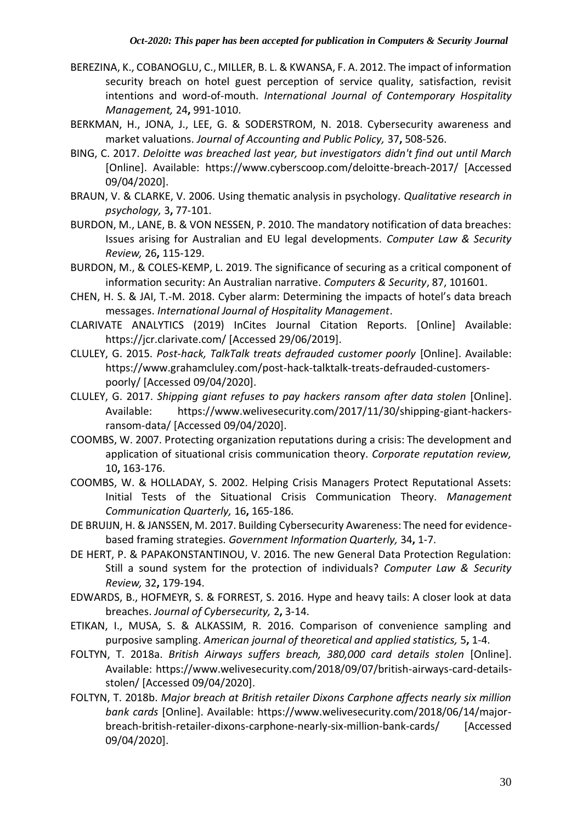- BEREZINA, K., COBANOGLU, C., MILLER, B. L. & KWANSA, F. A. 2012. The impact of information security breach on hotel guest perception of service quality, satisfaction, revisit intentions and word‐of‐mouth. *International Journal of Contemporary Hospitality Management,* 24**,** 991-1010.
- BERKMAN, H., JONA, J., LEE, G. & SODERSTROM, N. 2018. Cybersecurity awareness and market valuations. *Journal of Accounting and Public Policy,* 37**,** 508-526.
- BING, C. 2017. *Deloitte was breached last year, but investigators didn't find out until March*  [Online]. Available: https://www.cyberscoop.com/deloitte-breach-2017/ [Accessed 09/04/2020].
- BRAUN, V. & CLARKE, V. 2006. Using thematic analysis in psychology. *Qualitative research in psychology,* 3**,** 77-101.
- BURDON, M., LANE, B. & VON NESSEN, P. 2010. The mandatory notification of data breaches: Issues arising for Australian and EU legal developments. *Computer Law & Security Review,* 26**,** 115-129.
- BURDON, M., & COLES-KEMP, L. 2019. The significance of securing as a critical component of information security: An Australian narrative. *Computers & Security*, 87, 101601.
- CHEN, H. S. & JAI, T.-M. 2018. Cyber alarm: Determining the impacts of hotel's data breach messages. *International Journal of Hospitality Management*.
- CLARIVATE ANALYTICS (2019) InCites Journal Citation Reports. [Online] Available: https://jcr.clarivate.com/ [Accessed 29/06/2019].
- CLULEY, G. 2015. *Post-hack, TalkTalk treats defrauded customer poorly* [Online]. Available: https://www.grahamcluley.com/post-hack-talktalk-treats-defrauded-customerspoorly/ [Accessed 09/04/2020].
- CLULEY, G. 2017. *Shipping giant refuses to pay hackers ransom after data stolen* [Online]. Available: https://www.welivesecurity.com/2017/11/30/shipping-giant-hackersransom-data/ [Accessed 09/04/2020].
- COOMBS, W. 2007. Protecting organization reputations during a crisis: The development and application of situational crisis communication theory. *Corporate reputation review,* 10**,** 163-176.
- COOMBS, W. & HOLLADAY, S. 2002. Helping Crisis Managers Protect Reputational Assets: Initial Tests of the Situational Crisis Communication Theory. *Management Communication Quarterly,* 16**,** 165-186.
- DE BRUIJN, H. & JANSSEN, M. 2017. Building Cybersecurity Awareness: The need for evidencebased framing strategies. *Government Information Quarterly,* 34**,** 1-7.
- DE HERT, P. & PAPAKONSTANTINOU, V. 2016. The new General Data Protection Regulation: Still a sound system for the protection of individuals? *Computer Law & Security Review,* 32**,** 179-194.
- EDWARDS, B., HOFMEYR, S. & FORREST, S. 2016. Hype and heavy tails: A closer look at data breaches. *Journal of Cybersecurity,* 2**,** 3-14.
- ETIKAN, I., MUSA, S. & ALKASSIM, R. 2016. Comparison of convenience sampling and purposive sampling. *American journal of theoretical and applied statistics,* 5**,** 1-4.
- FOLTYN, T. 2018a. *British Airways suffers breach, 380,000 card details stolen* [Online]. Available: https://www.welivesecurity.com/2018/09/07/british-airways-card-detailsstolen/ [Accessed 09/04/2020].
- FOLTYN, T. 2018b. *Major breach at British retailer Dixons Carphone affects nearly six million bank cards* [Online]. Available: https://www.welivesecurity.com/2018/06/14/majorbreach-british-retailer-dixons-carphone-nearly-six-million-bank-cards/ [Accessed 09/04/2020].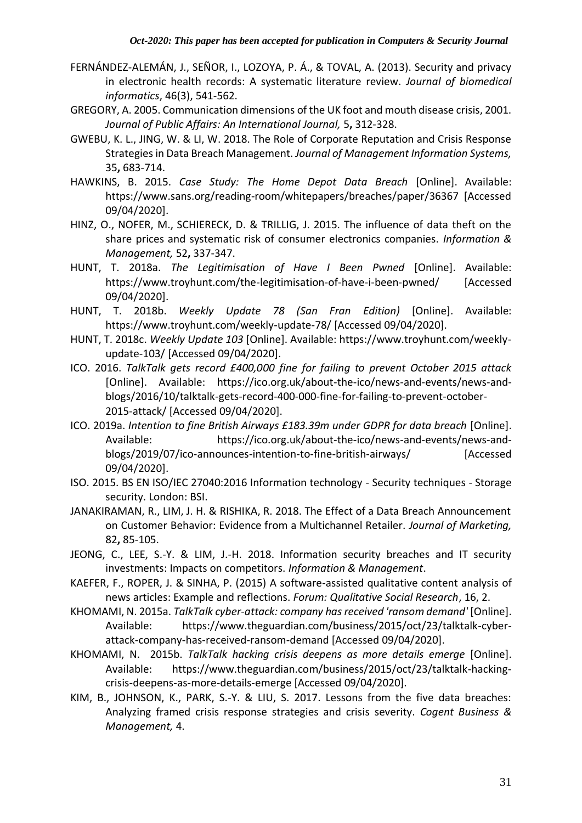- FERNÁNDEZ-ALEMÁN, J., SEÑOR, I., LOZOYA, P. Á., & TOVAL, A. (2013). Security and privacy in electronic health records: A systematic literature review. *Journal of biomedical informatics*, 46(3), 541-562.
- GREGORY, A. 2005. Communication dimensions of the UK foot and mouth disease crisis, 2001. *Journal of Public Affairs: An International Journal,* 5**,** 312-328.
- GWEBU, K. L., JING, W. & LI, W. 2018. The Role of Corporate Reputation and Crisis Response Strategies in Data Breach Management. *Journal of Management Information Systems,* 35**,** 683-714.
- HAWKINS, B. 2015. *Case Study: The Home Depot Data Breach* [Online]. Available: https://www.sans.org/reading-room/whitepapers/breaches/paper/36367 [Accessed 09/04/2020].
- HINZ, O., NOFER, M., SCHIERECK, D. & TRILLIG, J. 2015. The influence of data theft on the share prices and systematic risk of consumer electronics companies. *Information & Management,* 52**,** 337-347.
- HUNT, T. 2018a. *The Legitimisation of Have I Been Pwned* [Online]. Available: https://www.troyhunt.com/the-legitimisation-of-have-i-been-pwned/ [Accessed 09/04/2020].
- HUNT, T. 2018b. *Weekly Update 78 (San Fran Edition)* [Online]. Available: https://www.troyhunt.com/weekly-update-78/ [Accessed 09/04/2020].
- HUNT, T. 2018c. *Weekly Update 103* [Online]. Available: https://www.troyhunt.com/weeklyupdate-103/ [Accessed 09/04/2020].
- ICO. 2016. *TalkTalk gets record £400,000 fine for failing to prevent October 2015 attack* [Online]. Available: https://ico.org.uk/about-the-ico/news-and-events/news-andblogs/2016/10/talktalk-gets-record-400-000-fine-for-failing-to-prevent-october-2015-attack/ [Accessed 09/04/2020].
- ICO. 2019a. *Intention to fine British Airways £183.39m under GDPR for data breach* [Online]. Available: https://ico.org.uk/about-the-ico/news-and-events/news-andblogs/2019/07/ico-announces-intention-to-fine-british-airways/ [Accessed 09/04/2020].
- ISO. 2015. BS EN ISO/IEC 27040:2016 Information technology Security techniques Storage security. London: BSI.
- JANAKIRAMAN, R., LIM, J. H. & RISHIKA, R. 2018. The Effect of a Data Breach Announcement on Customer Behavior: Evidence from a Multichannel Retailer. *Journal of Marketing,* 82**,** 85-105.
- JEONG, C., LEE, S.-Y. & LIM, J.-H. 2018. Information security breaches and IT security investments: Impacts on competitors. *Information & Management*.
- KAEFER, F., ROPER, J. & SINHA, P. (2015) A software-assisted qualitative content analysis of news articles: Example and reflections. *Forum: Qualitative Social Research*, 16, 2.
- KHOMAMI, N. 2015a. *TalkTalk cyber-attack: company has received 'ransom demand'* [Online]. Available: https://www.theguardian.com/business/2015/oct/23/talktalk-cyberattack-company-has-received-ransom-demand [Accessed 09/04/2020].
- KHOMAMI, N. 2015b. *TalkTalk hacking crisis deepens as more details emerge* [Online]. Available: https://www.theguardian.com/business/2015/oct/23/talktalk-hackingcrisis-deepens-as-more-details-emerge [Accessed 09/04/2020].
- KIM, B., JOHNSON, K., PARK, S.-Y. & LIU, S. 2017. Lessons from the five data breaches: Analyzing framed crisis response strategies and crisis severity. *Cogent Business & Management,* 4.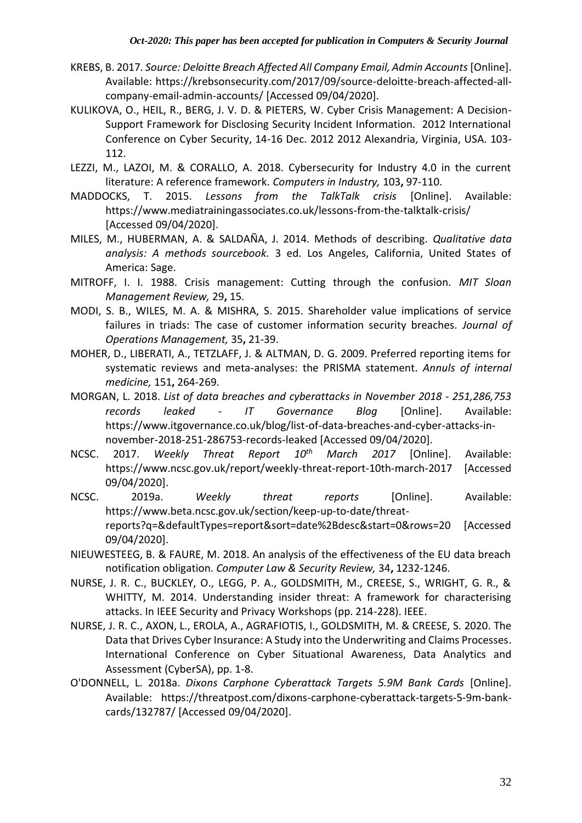- KREBS, B. 2017. *Source: Deloitte Breach Affected All Company Email, Admin Accounts* [Online]. Available: https://krebsonsecurity.com/2017/09/source-deloitte-breach-affected-allcompany-email-admin-accounts/ [Accessed 09/04/2020].
- KULIKOVA, O., HEIL, R., BERG, J. V. D. & PIETERS, W. Cyber Crisis Management: A Decision-Support Framework for Disclosing Security Incident Information. 2012 International Conference on Cyber Security, 14-16 Dec. 2012 2012 Alexandria, Virginia, USA. 103- 112.
- LEZZI, M., LAZOI, M. & CORALLO, A. 2018. Cybersecurity for Industry 4.0 in the current literature: A reference framework. *Computers in Industry,* 103**,** 97-110.
- MADDOCKS, T. 2015. *Lessons from the TalkTalk crisis* [Online]. Available: https://www.mediatrainingassociates.co.uk/lessons-from-the-talktalk-crisis/ [Accessed 09/04/2020].
- MILES, M., HUBERMAN, A. & SALDAÑA, J. 2014. Methods of describing. *Qualitative data analysis: A methods sourcebook.* 3 ed. Los Angeles, California, United States of America: Sage.
- MITROFF, I. I. 1988. Crisis management: Cutting through the confusion. *MIT Sloan Management Review,* 29**,** 15.
- MODI, S. B., WILES, M. A. & MISHRA, S. 2015. Shareholder value implications of service failures in triads: The case of customer information security breaches. *Journal of Operations Management,* 35**,** 21-39.
- MOHER, D., LIBERATI, A., TETZLAFF, J. & ALTMAN, D. G. 2009. Preferred reporting items for systematic reviews and meta-analyses: the PRISMA statement. *Annuls of internal medicine,* 151**,** 264-269.
- MORGAN, L. 2018. *List of data breaches and cyberattacks in November 2018 - 251,286,753 records leaked - IT Governance Blog* [Online]. Available: https://www.itgovernance.co.uk/blog/list-of-data-breaches-and-cyber-attacks-innovember-2018-251-286753-records-leaked [Accessed 09/04/2020].
- NCSC. 2017. *Weekly Threat Report 10th March 2017* [Online]. Available: https://www.ncsc.gov.uk/report/weekly-threat-report-10th-march-2017 [Accessed 09/04/2020].
- NCSC. 2019a. *Weekly threat reports* [Online]. Available: https://www.beta.ncsc.gov.uk/section/keep-up-to-date/threatreports?q=&defaultTypes=report&sort=date%2Bdesc&start=0&rows=20 [Accessed 09/04/2020].
- NIEUWESTEEG, B. & FAURE, M. 2018. An analysis of the effectiveness of the EU data breach notification obligation. *Computer Law & Security Review,* 34**,** 1232-1246.
- NURSE, J. R. C., BUCKLEY, O., LEGG, P. A., GOLDSMITH, M., CREESE, S., WRIGHT, G. R., & WHITTY, M. 2014. Understanding insider threat: A framework for characterising attacks. In IEEE Security and Privacy Workshops (pp. 214-228). IEEE.
- NURSE, J. R. C., AXON, L., EROLA, A., AGRAFIOTIS, I., GOLDSMITH, M. & CREESE, S. 2020. The Data that Drives Cyber Insurance: A Study into the Underwriting and Claims Processes. International Conference on Cyber Situational Awareness, Data Analytics and Assessment (CyberSA), pp. 1-8.
- O'DONNELL, L. 2018a. *Dixons Carphone Cyberattack Targets 5.9M Bank Cards* [Online]. Available: https://threatpost.com/dixons-carphone-cyberattack-targets-5-9m-bankcards/132787/ [Accessed 09/04/2020].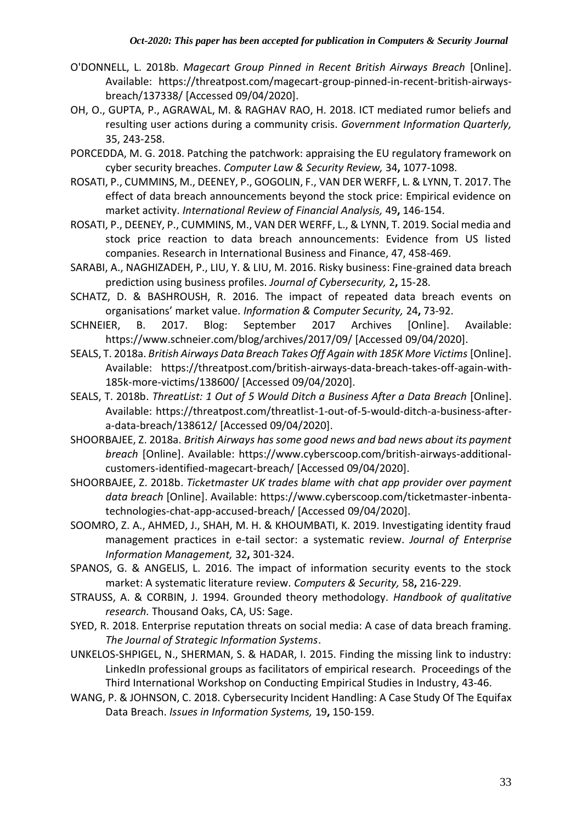- O'DONNELL, L. 2018b. *Magecart Group Pinned in Recent British Airways Breach* [Online]. Available: https://threatpost.com/magecart-group-pinned-in-recent-british-airwaysbreach/137338/ [Accessed 09/04/2020].
- OH, O., GUPTA, P., AGRAWAL, M. & RAGHAV RAO, H. 2018. ICT mediated rumor beliefs and resulting user actions during a community crisis. *Government Information Quarterly,* 35, 243-258.
- PORCEDDA, M. G. 2018. Patching the patchwork: appraising the EU regulatory framework on cyber security breaches. *Computer Law & Security Review,* 34**,** 1077-1098.
- ROSATI, P., CUMMINS, M., DEENEY, P., GOGOLIN, F., VAN DER WERFF, L. & LYNN, T. 2017. The effect of data breach announcements beyond the stock price: Empirical evidence on market activity. *International Review of Financial Analysis,* 49**,** 146-154.
- ROSATI, P., DEENEY, P., CUMMINS, M., VAN DER WERFF, L., & LYNN, T. 2019. Social media and stock price reaction to data breach announcements: Evidence from US listed companies. Research in International Business and Finance, 47, 458-469.
- SARABI, A., NAGHIZADEH, P., LIU, Y. & LIU, M. 2016. Risky business: Fine-grained data breach prediction using business profiles. *Journal of Cybersecurity,* 2**,** 15-28.
- SCHATZ, D. & BASHROUSH, R. 2016. The impact of repeated data breach events on organisations' market value. *Information & Computer Security,* 24**,** 73-92.
- SCHNEIER, B. 2017. Blog: September 2017 Archives [Online]. Available: https://www.schneier.com/blog/archives/2017/09/ [Accessed 09/04/2020].
- SEALS, T. 2018a. *British Airways Data Breach Takes Off Again with 185K More Victims* [Online]. Available: https://threatpost.com/british-airways-data-breach-takes-off-again-with-185k-more-victims/138600/ [Accessed 09/04/2020].
- SEALS, T. 2018b. *ThreatList: 1 Out of 5 Would Ditch a Business After a Data Breach* [Online]. Available: https://threatpost.com/threatlist-1-out-of-5-would-ditch-a-business-aftera-data-breach/138612/ [Accessed 09/04/2020].
- SHOORBAJEE, Z. 2018a. *British Airways has some good news and bad news about its payment breach* [Online]. Available: https://www.cyberscoop.com/british-airways-additionalcustomers-identified-magecart-breach/ [Accessed 09/04/2020].
- SHOORBAJEE, Z. 2018b. *Ticketmaster UK trades blame with chat app provider over payment data breach* [Online]. Available: https://www.cyberscoop.com/ticketmaster-inbentatechnologies-chat-app-accused-breach/ [Accessed 09/04/2020].
- SOOMRO, Z. A., AHMED, J., SHAH, M. H. & KHOUMBATI, K. 2019. Investigating identity fraud management practices in e-tail sector: a systematic review. *Journal of Enterprise Information Management,* 32**,** 301-324.
- SPANOS, G. & ANGELIS, L. 2016. The impact of information security events to the stock market: A systematic literature review. *Computers & Security,* 58**,** 216-229.
- STRAUSS, A. & CORBIN, J. 1994. Grounded theory methodology. *Handbook of qualitative research.* Thousand Oaks, CA, US: Sage.
- SYED, R. 2018. Enterprise reputation threats on social media: A case of data breach framing. *The Journal of Strategic Information Systems*.
- UNKELOS-SHPIGEL, N., SHERMAN, S. & HADAR, I. 2015. Finding the missing link to industry: LinkedIn professional groups as facilitators of empirical research. Proceedings of the Third International Workshop on Conducting Empirical Studies in Industry, 43-46.
- WANG, P. & JOHNSON, C. 2018. Cybersecurity Incident Handling: A Case Study Of The Equifax Data Breach. *Issues in Information Systems,* 19**,** 150-159.